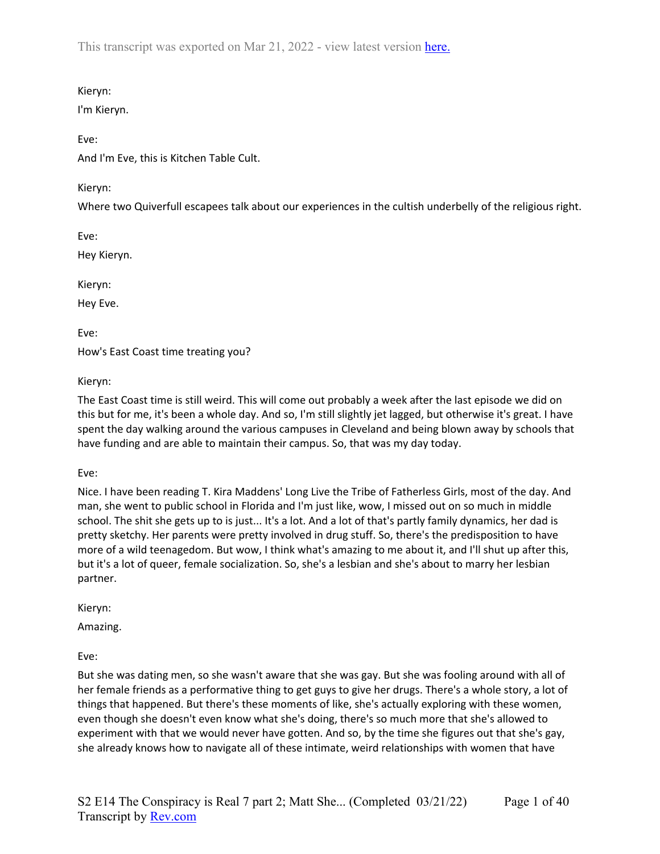## Kieryn:

I'm Kieryn.

## Eve:

And I'm Eve, this is Kitchen Table Cult.

## Kieryn:

Where two Quiverfull escapees talk about our experiences in the cultish underbelly of the religious right.

Eve:

Hey Kieryn.

Kieryn:

Hey Eve.

Eve: How's East Coast time treating you?

Kieryn:

The East Coast time is still weird. This will come out probably a week after the last episode we did on this but for me, it's been a whole day. And so, I'm still slightly jet lagged, but otherwise it's great. I have spent the day walking around the various campuses in Cleveland and being blown away by schools that have funding and are able to maintain their campus. So, that was my day today.

Eve:

Nice. I have been reading T. Kira Maddens' Long Live the Tribe of Fatherless Girls, most of the day. And man, she went to public school in Florida and I'm just like, wow, I missed out on so much in middle school. The shit she gets up to is just... It's a lot. And a lot of that's partly family dynamics, her dad is pretty sketchy. Her parents were pretty involved in drug stuff. So, there's the predisposition to have more of a wild teenagedom. But wow, I think what's amazing to me about it, and I'll shut up after this, but it's a lot of queer, female socialization. So, she's a lesbian and she's about to marry her lesbian partner.

Kieryn:

Amazing.

Eve:

But she was dating men, so she wasn't aware that she was gay. But she was fooling around with all of her female friends as a performative thing to get guys to give her drugs. There's a whole story, a lot of things that happened. But there's these moments of like, she's actually exploring with these women, even though she doesn't even know what she's doing, there's so much more that she's allowed to experiment with that we would never have gotten. And so, by the time she figures out that she's gay, she already knows how to navigate all of these intimate, weird relationships with women that have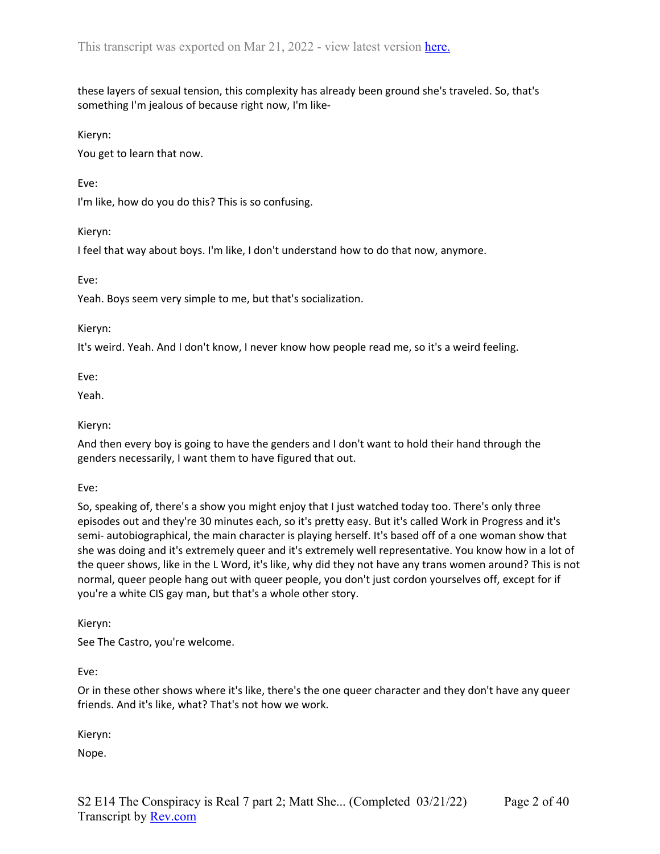these layers of sexual tension, this complexity has already been ground she's traveled. So, that's something I'm jealous of because right now, I'm like-

Kieryn:

You get to learn that now.

Eve:

I'm like, how do you do this? This is so confusing.

Kieryn:

I feel that way about boys. I'm like, I don't understand how to do that now, anymore.

Eve:

Yeah. Boys seem very simple to me, but that's socialization.

Kieryn:

It's weird. Yeah. And I don't know, I never know how people read me, so it's a weird feeling.

Eve:

Yeah.

#### Kieryn:

And then every boy is going to have the genders and I don't want to hold their hand through the genders necessarily, I want them to have figured that out.

Eve:

So, speaking of, there's a show you might enjoy that I just watched today too. There's only three episodes out and they're 30 minutes each, so it's pretty easy. But it's called Work in Progress and it's semi- autobiographical, the main character is playing herself. It's based off of a one woman show that she was doing and it's extremely queer and it's extremely well representative. You know how in a lot of the queer shows, like in the L Word, it's like, why did they not have any trans women around? This is not normal, queer people hang out with queer people, you don't just cordon yourselves off, except for if you're a white CIS gay man, but that's a whole other story.

Kieryn:

See The Castro, you're welcome.

Eve:

Or in these other shows where it's like, there's the one queer character and they don't have any queer friends. And it's like, what? That's not how we work.

Kieryn:

Nope.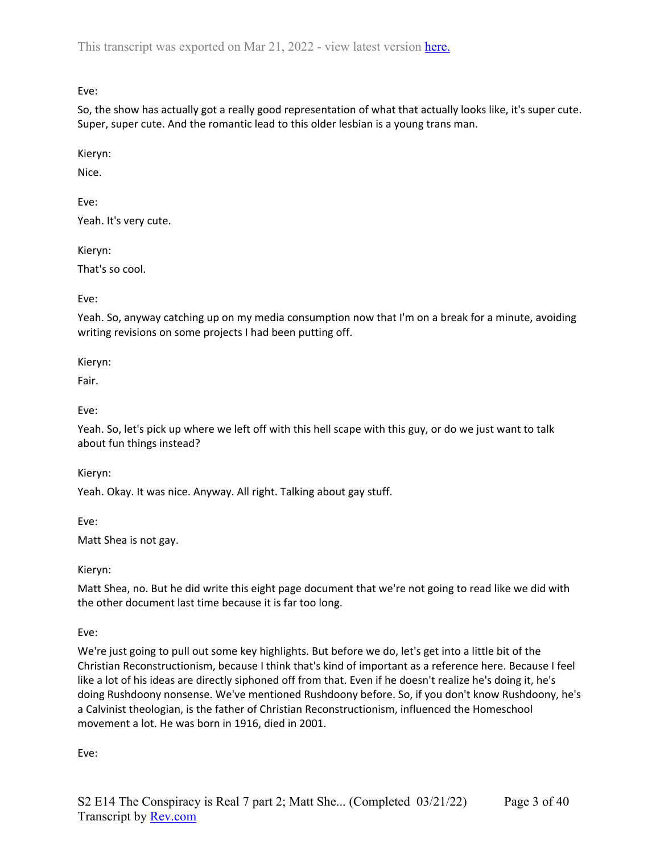Eve:

So, the show has actually got a really good representation of what that actually looks like, it's super cute. Super, super cute. And the romantic lead to this older lesbian is a young trans man.

Kieryn:

Nice.

Eve:

Yeah. It's very cute.

Kieryn:

That's so cool.

Eve:

Yeah. So, anyway catching up on my media consumption now that I'm on a break for a minute, avoiding writing revisions on some projects I had been putting off.

Kieryn:

Fair.

Eve:

Yeah. So, let's pick up where we left off with this hell scape with this guy, or do we just want to talk about fun things instead?

Kieryn:

Yeah. Okay. It was nice. Anyway. All right. Talking about gay stuff.

Eve:

Matt Shea is not gay.

Kieryn:

Matt Shea, no. But he did write this eight page document that we're not going to read like we did with the other document last time because it is far too long.

Eve:

We're just going to pull out some key highlights. But before we do, let's get into a little bit of the Christian Reconstructionism, because I think that's kind of important as a reference here. Because I feel like a lot of his ideas are directly siphoned off from that. Even if he doesn't realize he's doing it, he's doing Rushdoony nonsense. We've mentioned Rushdoony before. So, if you don't know Rushdoony, he's a Calvinist theologian, is the father of Christian Reconstructionism, influenced the Homeschool movement a lot. He was born in 1916, died in 2001.

Eve: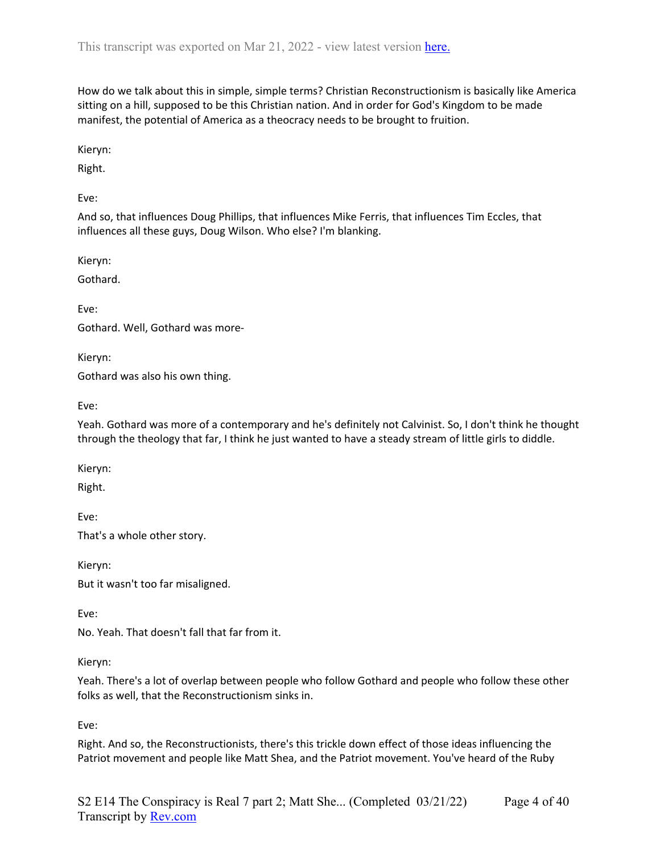How do we talk about this in simple, simple terms? Christian Reconstructionism is basically like America sitting on a hill, supposed to be this Christian nation. And in order for God's Kingdom to be made manifest, the potential of America as a theocracy needs to be brought to fruition.

Kieryn:

Right.

Eve:

And so, that influences Doug Phillips, that influences Mike Ferris, that influences Tim Eccles, that influences all these guys, Doug Wilson. Who else? I'm blanking.

Kieryn:

Gothard.

Eve:

Gothard. Well, Gothard was more-

Kieryn:

Gothard was also his own thing.

Eve:

Yeah. Gothard was more of a contemporary and he's definitely not Calvinist. So, I don't think he thought through the theology that far, I think he just wanted to have a steady stream of little girls to diddle.

Kieryn:

Right.

Eve: That's a whole other story.

Kieryn: But it wasn't too far misaligned.

Eve:

No. Yeah. That doesn't fall that far from it.

Kieryn:

Yeah. There's a lot of overlap between people who follow Gothard and people who follow these other folks as well, that the Reconstructionism sinks in.

Eve:

Right. And so, the Reconstructionists, there's this trickle down effect of those ideas influencing the Patriot movement and people like Matt Shea, and the Patriot movement. You've heard of the Ruby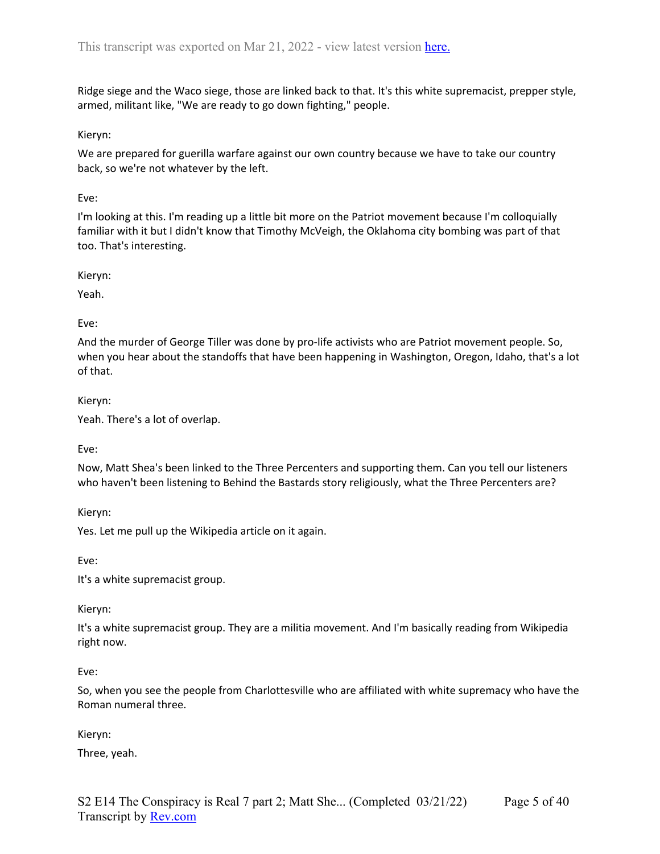Ridge siege and the Waco siege, those are linked back to that. It's this white supremacist, prepper style, armed, militant like, "We are ready to go down fighting," people.

#### Kieryn:

We are prepared for guerilla warfare against our own country because we have to take our country back, so we're not whatever by the left.

#### Eve:

I'm looking at this. I'm reading up a little bit more on the Patriot movement because I'm colloquially familiar with it but I didn't know that Timothy McVeigh, the Oklahoma city bombing was part of that too. That's interesting.

Kieryn:

Yeah.

### Eve:

And the murder of George Tiller was done by pro-life activists who are Patriot movement people. So, when you hear about the standoffs that have been happening in Washington, Oregon, Idaho, that's a lot of that.

Kieryn:

Yeah. There's a lot of overlap.

Eve:

Now, Matt Shea's been linked to the Three Percenters and supporting them. Can you tell our listeners who haven't been listening to Behind the Bastards story religiously, what the Three Percenters are?

Kieryn:

Yes. Let me pull up the Wikipedia article on it again.

Eve:

It's a white supremacist group.

Kieryn:

It's a white supremacist group. They are a militia movement. And I'm basically reading from Wikipedia right now.

Eve:

So, when you see the people from Charlottesville who are affiliated with white supremacy who have the Roman numeral three.

Kieryn:

Three, yeah.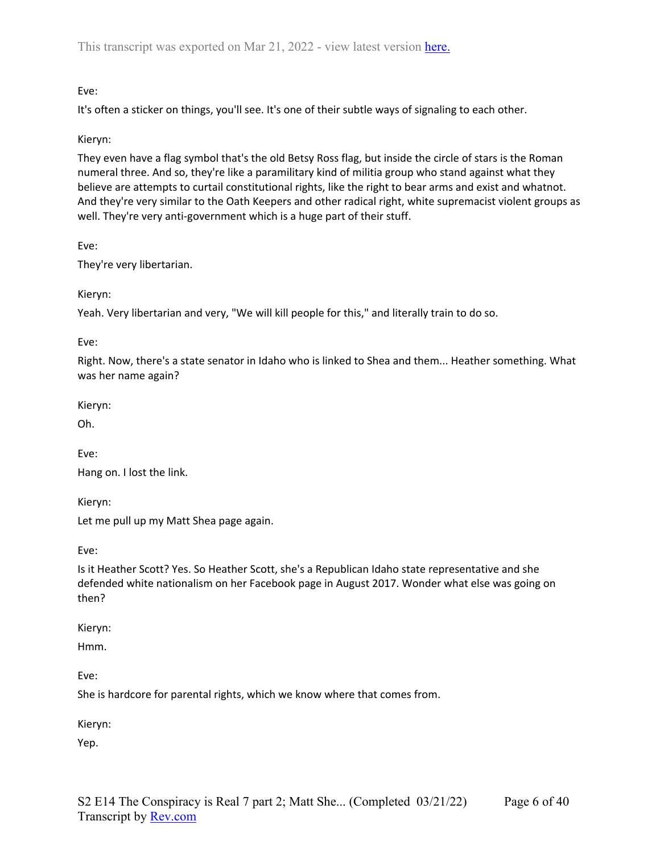# Eve:

It's often a sticker on things, you'll see. It's one of their subtle ways of signaling to each other.

### Kieryn:

They even have a flag symbol that's the old Betsy Ross flag, but inside the circle of stars is the Roman numeral three. And so, they're like a paramilitary kind of militia group who stand against what they believe are attempts to curtail constitutional rights, like the right to bear arms and exist and whatnot. And they're very similar to the Oath Keepers and other radical right, white supremacist violent groups as well. They're very anti-government which is a huge part of their stuff.

Eve:

They're very libertarian.

Kieryn:

Yeah. Very libertarian and very, "We will kill people for this," and literally train to do so.

Eve:

Right. Now, there's a state senator in Idaho who is linked to Shea and them... Heather something. What was her name again?

Kieryn:

Oh.

Eve:

Hang on. I lost the link.

Kieryn:

Let me pull up my Matt Shea page again.

Eve:

Is it Heather Scott? Yes. So Heather Scott, she's a Republican Idaho state representative and she defended white nationalism on her Facebook page in August 2017. Wonder what else was going on then?

Kieryn:

Hmm.

Eve:

She is hardcore for parental rights, which we know where that comes from.

Kieryn:

Yep.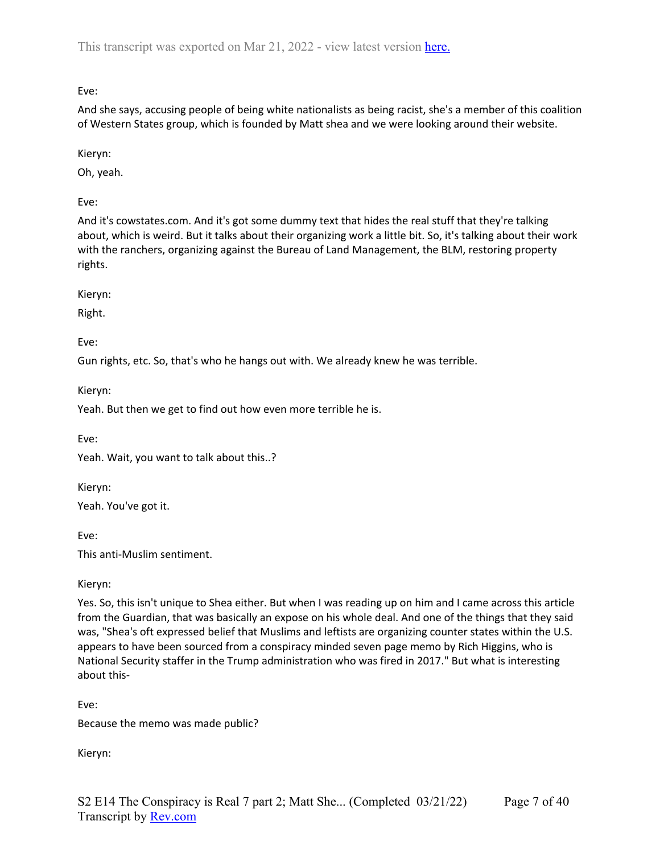Eve:

And she says, accusing people of being white nationalists as being racist, she's a member of this coalition of Western States group, which is founded by Matt shea and we were looking around their website.

Kieryn:

Oh, yeah.

Eve:

And it's cowstates.com. And it's got some dummy text that hides the real stuff that they're talking about, which is weird. But it talks about their organizing work a little bit. So, it's talking about their work with the ranchers, organizing against the Bureau of Land Management, the BLM, restoring property rights.

Kieryn:

Right.

Eve:

Gun rights, etc. So, that's who he hangs out with. We already knew he was terrible.

Kieryn:

Yeah. But then we get to find out how even more terrible he is.

Eve:

Yeah. Wait, you want to talk about this..?

Kieryn:

Yeah. You've got it.

Eve:

This anti-Muslim sentiment.

Kieryn:

Yes. So, this isn't unique to Shea either. But when I was reading up on him and I came across this article from the Guardian, that was basically an expose on his whole deal. And one of the things that they said was, "Shea's oft expressed belief that Muslims and leftists are organizing counter states within the U.S. appears to have been sourced from a conspiracy minded seven page memo by Rich Higgins, who is National Security staffer in the Trump administration who was fired in 2017." But what is interesting about this-

Eve:

Because the memo was made public?

Kieryn: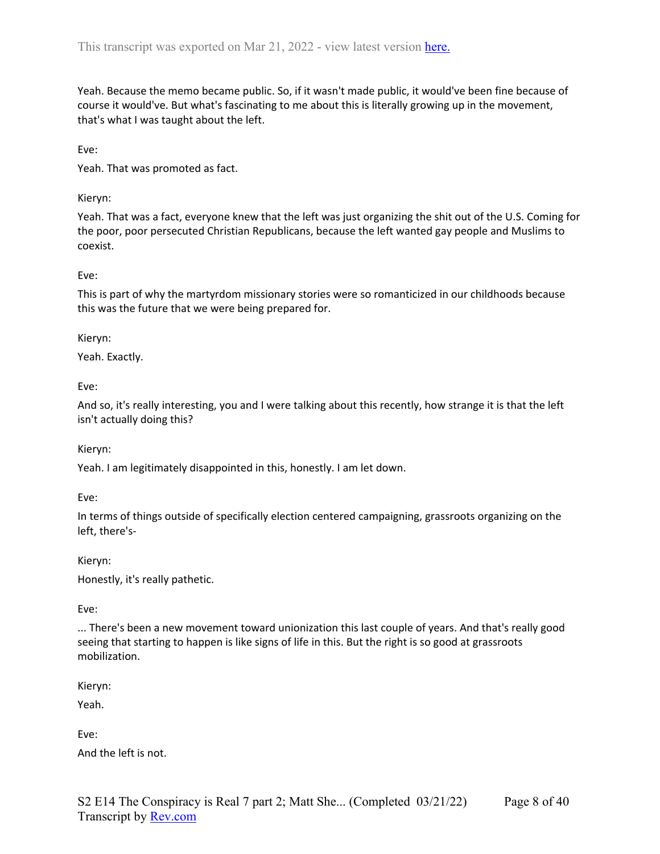Yeah. Because the memo became public. So, if it wasn't made public, it would've been fine because of course it would've. But what's fascinating to me about this is literally growing up in the movement, that's what I was taught about the left.

Eve:

Yeah. That was promoted as fact.

Kieryn:

Yeah. That was a fact, everyone knew that the left was just organizing the shit out of the U.S. Coming for the poor, poor persecuted Christian Republicans, because the left wanted gay people and Muslims to coexist.

Eve:

This is part of why the martyrdom missionary stories were so romanticized in our childhoods because this was the future that we were being prepared for.

Kieryn:

Yeah. Exactly.

Eve:

And so, it's really interesting, you and I were talking about this recently, how strange it is that the left isn't actually doing this?

Kieryn:

Yeah. I am legitimately disappointed in this, honestly. I am let down.

Eve:

In terms of things outside of specifically election centered campaigning, grassroots organizing on the left, there's-

Kieryn: Honestly, it's really pathetic.

Eve:

... There's been a new movement toward unionization this last couple of years. And that's really good seeing that starting to happen is like signs of life in this. But the right is so good at grassroots mobilization.

Kieryn:

Yeah.

Eve:

And the left is not.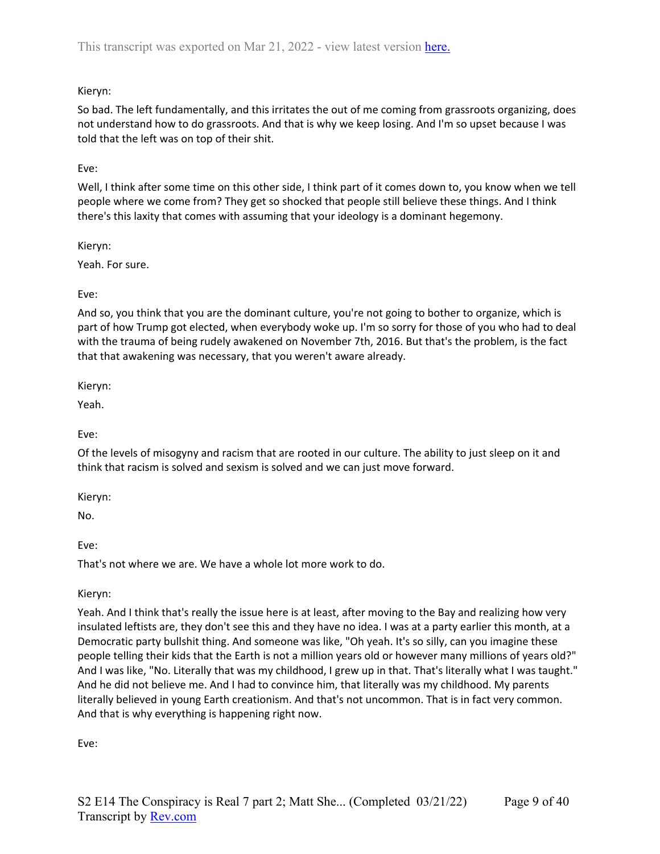# Kieryn:

So bad. The left fundamentally, and this irritates the out of me coming from grassroots organizing, does not understand how to do grassroots. And that is why we keep losing. And I'm so upset because I was told that the left was on top of their shit.

# Eve:

Well, I think after some time on this other side, I think part of it comes down to, you know when we tell people where we come from? They get so shocked that people still believe these things. And I think there's this laxity that comes with assuming that your ideology is a dominant hegemony.

Kieryn:

Yeah. For sure.

Eve:

And so, you think that you are the dominant culture, you're not going to bother to organize, which is part of how Trump got elected, when everybody woke up. I'm so sorry for those of you who had to deal with the trauma of being rudely awakened on November 7th, 2016. But that's the problem, is the fact that that awakening was necessary, that you weren't aware already.

Kieryn:

Yeah.

Eve:

Of the levels of misogyny and racism that are rooted in our culture. The ability to just sleep on it and think that racism is solved and sexism is solved and we can just move forward.

Kieryn:

No.

Eve:

That's not where we are. We have a whole lot more work to do.

Kieryn:

Yeah. And I think that's really the issue here is at least, after moving to the Bay and realizing how very insulated leftists are, they don't see this and they have no idea. I was at a party earlier this month, at a Democratic party bullshit thing. And someone was like, "Oh yeah. It's so silly, can you imagine these people telling their kids that the Earth is not a million years old or however many millions of years old?" And I was like, "No. Literally that was my childhood, I grew up in that. That's literally what I was taught." And he did not believe me. And I had to convince him, that literally was my childhood. My parents literally believed in young Earth creationism. And that's not uncommon. That is in fact very common. And that is why everything is happening right now.

Eve: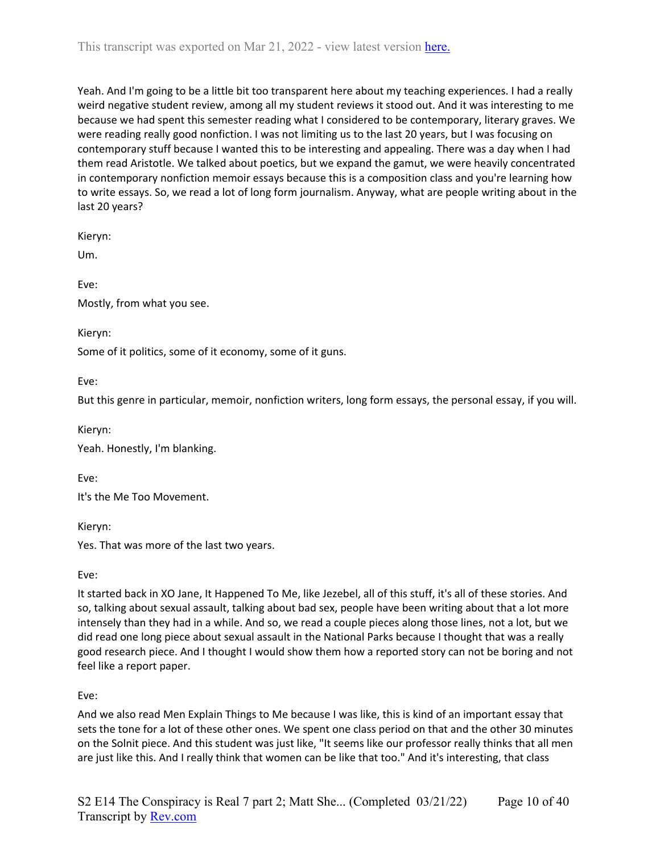Yeah. And I'm going to be a little bit too transparent here about my teaching experiences. I had a really weird negative student review, among all my student reviews it stood out. And it was interesting to me because we had spent this semester reading what I considered to be contemporary, literary graves. We were reading really good nonfiction. I was not limiting us to the last 20 years, but I was focusing on contemporary stuff because I wanted this to be interesting and appealing. There was a day when I had them read Aristotle. We talked about poetics, but we expand the gamut, we were heavily concentrated in contemporary nonfiction memoir essays because this is a composition class and you're learning how to write essays. So, we read a lot of long form journalism. Anyway, what are people writing about in the last 20 years?

Kieryn:

Um.

Eve: Mostly, from what you see.

Kieryn:

Some of it politics, some of it economy, some of it guns.

Eve:

But this genre in particular, memoir, nonfiction writers, long form essays, the personal essay, if you will.

Kieryn:

Yeah. Honestly, I'm blanking.

Eve:

It's the Me Too Movement.

Kieryn:

Yes. That was more of the last two years.

Eve:

It started back in XO Jane, It Happened To Me, like Jezebel, all of this stuff, it's all of these stories. And so, talking about sexual assault, talking about bad sex, people have been writing about that a lot more intensely than they had in a while. And so, we read a couple pieces along those lines, not a lot, but we did read one long piece about sexual assault in the National Parks because I thought that was a really good research piece. And I thought I would show them how a reported story can not be boring and not feel like a report paper.

Eve:

And we also read Men Explain Things to Me because I was like, this is kind of an important essay that sets the tone for a lot of these other ones. We spent one class period on that and the other 30 minutes on the Solnit piece. And this student was just like, "It seems like our professor really thinks that all men are just like this. And I really think that women can be like that too." And it's interesting, that class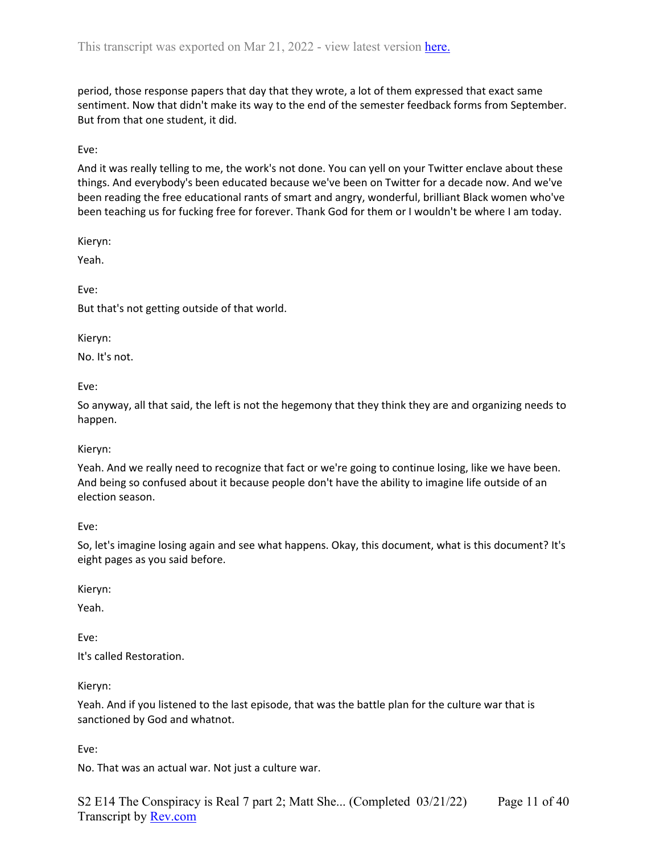period, those response papers that day that they wrote, a lot of them expressed that exact same sentiment. Now that didn't make its way to the end of the semester feedback forms from September. But from that one student, it did.

Eve:

And it was really telling to me, the work's not done. You can yell on your Twitter enclave about these things. And everybody's been educated because we've been on Twitter for a decade now. And we've been reading the free educational rants of smart and angry, wonderful, brilliant Black women who've been teaching us for fucking free for forever. Thank God for them or I wouldn't be where I am today.

Kieryn:

Yeah.

Eve:

But that's not getting outside of that world.

Kieryn:

No. It's not.

Eve:

So anyway, all that said, the left is not the hegemony that they think they are and organizing needs to happen.

Kieryn:

Yeah. And we really need to recognize that fact or we're going to continue losing, like we have been. And being so confused about it because people don't have the ability to imagine life outside of an election season.

Eve:

So, let's imagine losing again and see what happens. Okay, this document, what is this document? It's eight pages as you said before.

Kieryn:

Yeah.

Eve:

It's called Restoration.

Kieryn:

Yeah. And if you listened to the last episode, that was the battle plan for the culture war that is sanctioned by God and whatnot.

Eve:

No. That was an actual war. Not just a culture war.

S2 E14 The Conspiracy is Real 7 part 2; Matt She... (Completed 03/21/22) Transcript by [Rev.com](https://www.rev.com/) Page 11 of 40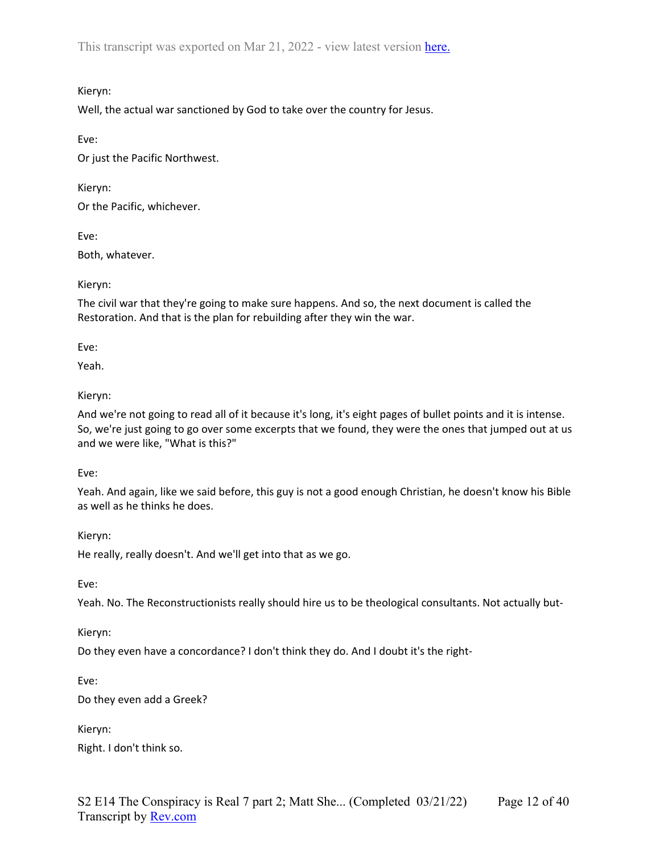Kieryn:

Well, the actual war sanctioned by God to take over the country for Jesus.

Eve:

Or just the Pacific Northwest.

Kieryn: Or the Pacific, whichever.

Eve:

Both, whatever.

Kieryn:

The civil war that they're going to make sure happens. And so, the next document is called the Restoration. And that is the plan for rebuilding after they win the war.

Eve:

Yeah.

Kieryn:

And we're not going to read all of it because it's long, it's eight pages of bullet points and it is intense. So, we're just going to go over some excerpts that we found, they were the ones that jumped out at us and we were like, "What is this?"

Eve:

Yeah. And again, like we said before, this guy is not a good enough Christian, he doesn't know his Bible as well as he thinks he does.

Kieryn:

He really, really doesn't. And we'll get into that as we go.

Eve:

Yeah. No. The Reconstructionists really should hire us to be theological consultants. Not actually but-

Kieryn:

Do they even have a concordance? I don't think they do. And I doubt it's the right-

Eve:

Do they even add a Greek?

Kieryn:

Right. I don't think so.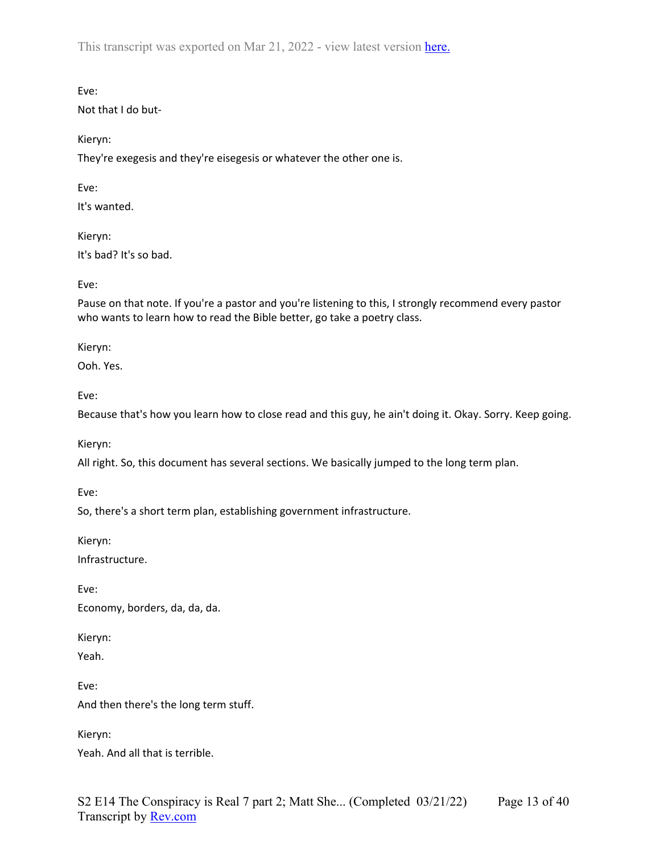Eve:

Not that I do but-

Kieryn:

They're exegesis and they're eisegesis or whatever the other one is.

Eve:

It's wanted.

Kieryn: It's bad? It's so bad.

Eve:

Pause on that note. If you're a pastor and you're listening to this, I strongly recommend every pastor who wants to learn how to read the Bible better, go take a poetry class.

Kieryn:

Ooh. Yes.

Eve:

Because that's how you learn how to close read and this guy, he ain't doing it. Okay. Sorry. Keep going.

Kieryn:

All right. So, this document has several sections. We basically jumped to the long term plan.

Eve:

So, there's a short term plan, establishing government infrastructure.

Kieryn:

Infrastructure.

Eve:

Economy, borders, da, da, da.

Kieryn:

Yeah.

Eve: And then there's the long term stuff.

Kieryn: Yeah. And all that is terrible.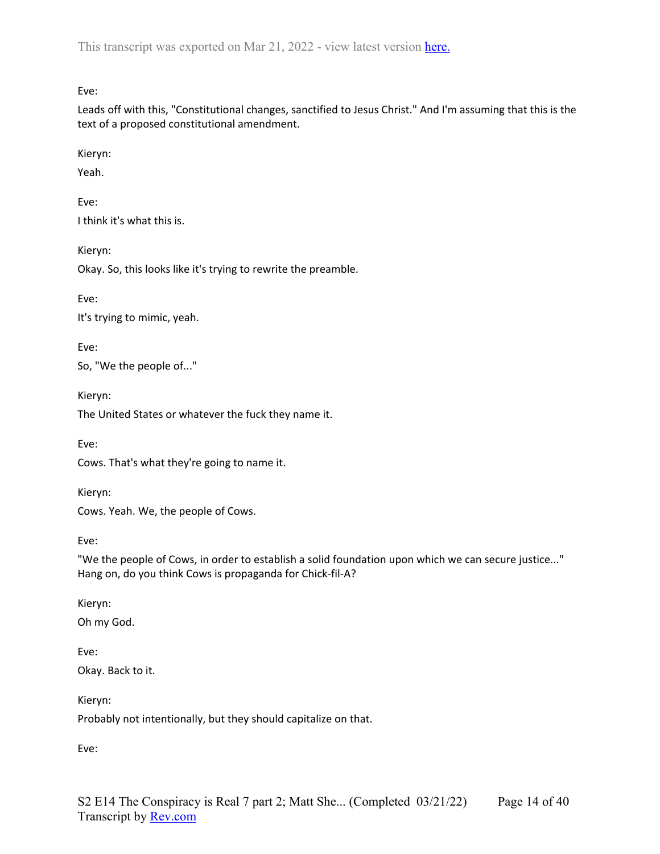Eve:

Leads off with this, "Constitutional changes, sanctified to Jesus Christ." And I'm assuming that this is the text of a proposed constitutional amendment.

Kieryn:

Yeah.

Eve: I think it's what this is.

Kieryn:

Okay. So, this looks like it's trying to rewrite the preamble.

Eve:

It's trying to mimic, yeah.

Eve:

So, "We the people of..."

Kieryn:

The United States or whatever the fuck they name it.

Eve:

Cows. That's what they're going to name it.

Kieryn:

Cows. Yeah. We, the people of Cows.

Eve:

"We the people of Cows, in order to establish a solid foundation upon which we can secure justice..." Hang on, do you think Cows is propaganda for Chick-fil-A?

Kieryn:

Oh my God.

Eve: Okay. Back to it.

Kieryn: Probably not intentionally, but they should capitalize on that.

Eve: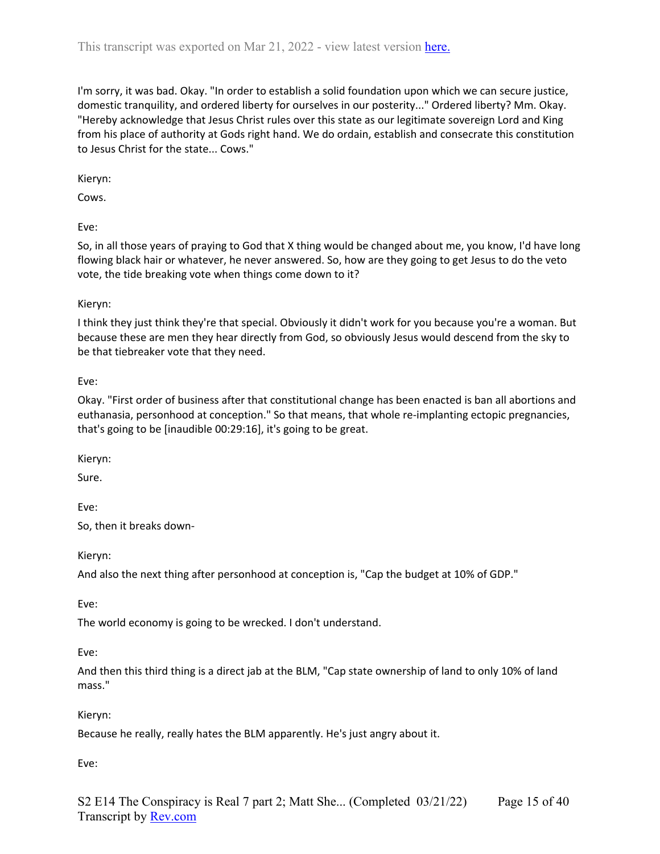I'm sorry, it was bad. Okay. "In order to establish a solid foundation upon which we can secure justice, domestic tranquility, and ordered liberty for ourselves in our posterity..." Ordered liberty? Mm. Okay. "Hereby acknowledge that Jesus Christ rules over this state as our legitimate sovereign Lord and King from his place of authority at Gods right hand. We do ordain, establish and consecrate this constitution to Jesus Christ for the state... Cows."

Kieryn:

Cows.

Eve:

So, in all those years of praying to God that X thing would be changed about me, you know, I'd have long flowing black hair or whatever, he never answered. So, how are they going to get Jesus to do the veto vote, the tide breaking vote when things come down to it?

### Kieryn:

I think they just think they're that special. Obviously it didn't work for you because you're a woman. But because these are men they hear directly from God, so obviously Jesus would descend from the sky to be that tiebreaker vote that they need.

## Eve:

Okay. "First order of business after that constitutional change has been enacted is ban all abortions and euthanasia, personhood at conception." So that means, that whole re-implanting ectopic pregnancies, that's going to be [inaudible 00:29:16], it's going to be great.

Kieryn:

Sure.

Eve:

So, then it breaks down-

Kieryn:

And also the next thing after personhood at conception is, "Cap the budget at 10% of GDP."

Eve:

The world economy is going to be wrecked. I don't understand.

Eve:

And then this third thing is a direct jab at the BLM, "Cap state ownership of land to only 10% of land mass."

Kieryn:

Because he really, really hates the BLM apparently. He's just angry about it.

Eve: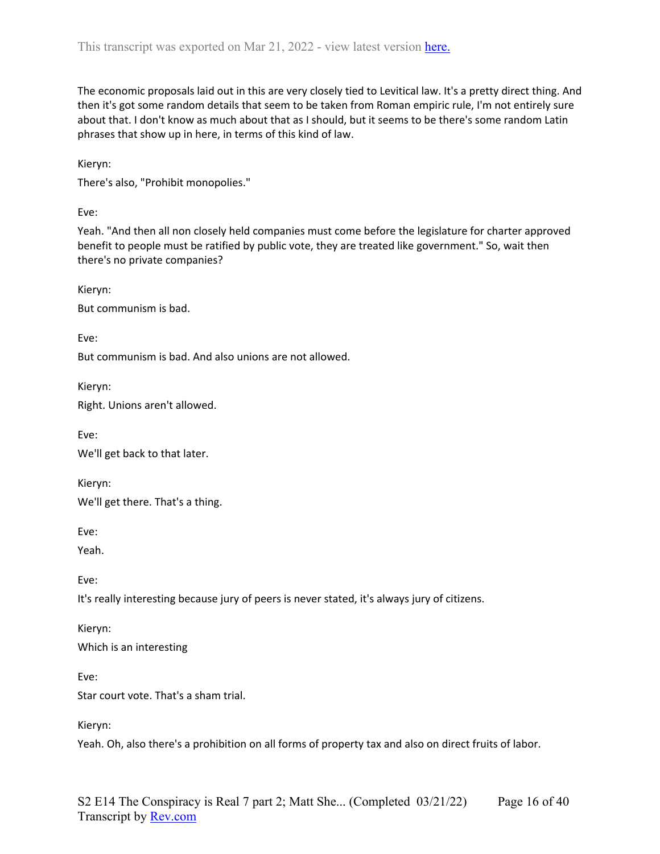The economic proposals laid out in this are very closely tied to Levitical law. It's a pretty direct thing. And then it's got some random details that seem to be taken from Roman empiric rule, I'm not entirely sure about that. I don't know as much about that as I should, but it seems to be there's some random Latin phrases that show up in here, in terms of this kind of law.

Kieryn:

There's also, "Prohibit monopolies."

Eve:

Yeah. "And then all non closely held companies must come before the legislature for charter approved benefit to people must be ratified by public vote, they are treated like government." So, wait then there's no private companies?

Kieryn: But communism is bad.

Eve:

But communism is bad. And also unions are not allowed.

Kieryn:

Right. Unions aren't allowed.

Eve: We'll get back to that later.

Kieryn: We'll get there. That's a thing.

Eve:

Yeah.

Eve:

It's really interesting because jury of peers is never stated, it's always jury of citizens.

Kieryn: Which is an interesting

Eve:

Star court vote. That's a sham trial.

Kieryn:

Yeah. Oh, also there's a prohibition on all forms of property tax and also on direct fruits of labor.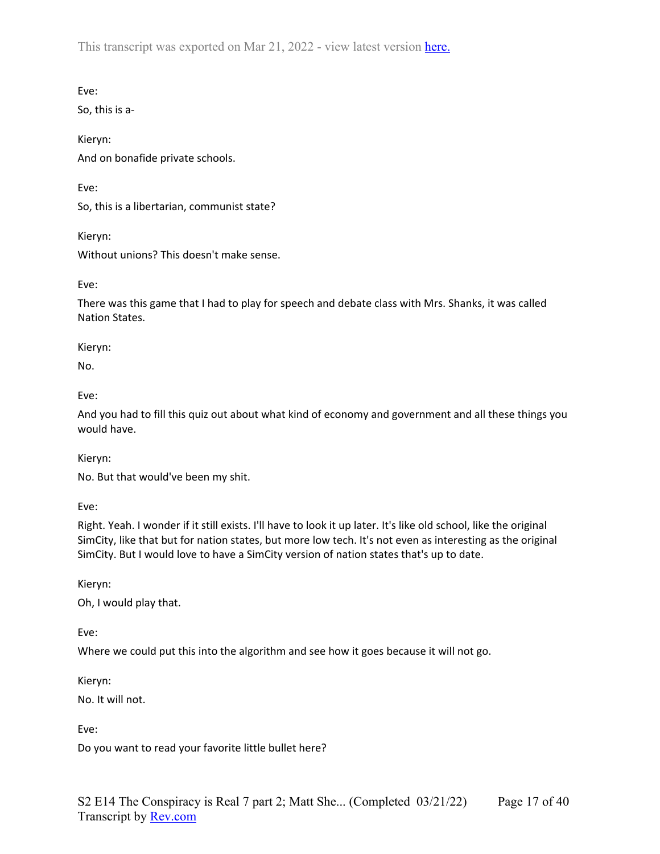Eve:

So, this is a-

Kieryn: And on bonafide private schools.

Eve:

So, this is a libertarian, communist state?

Kieryn: Without unions? This doesn't make sense.

Eve:

There was this game that I had to play for speech and debate class with Mrs. Shanks, it was called Nation States.

Kieryn:

No.

Eve:

And you had to fill this quiz out about what kind of economy and government and all these things you would have.

Kieryn:

No. But that would've been my shit.

Eve:

Right. Yeah. I wonder if it still exists. I'll have to look it up later. It's like old school, like the original SimCity, like that but for nation states, but more low tech. It's not even as interesting as the original SimCity. But I would love to have a SimCity version of nation states that's up to date.

Kieryn:

Oh, I would play that.

Eve:

Where we could put this into the algorithm and see how it goes because it will not go.

Kieryn:

No. It will not.

Eve:

Do you want to read your favorite little bullet here?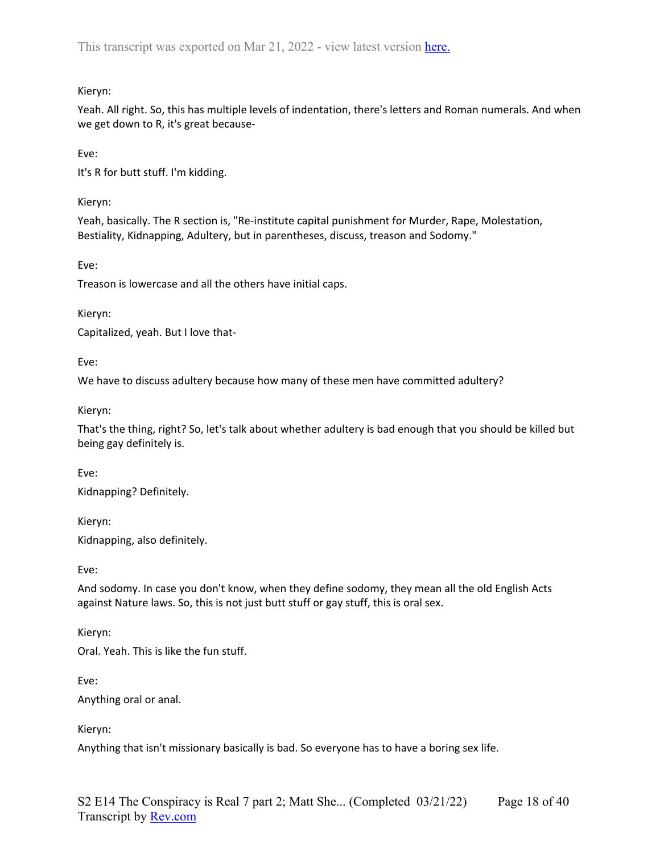# Kieryn:

Yeah. All right. So, this has multiple levels of indentation, there's letters and Roman numerals. And when we get down to R, it's great because-

Eve:

It's R for butt stuff. I'm kidding.

Kieryn:

Yeah, basically. The R section is, "Re-institute capital punishment for Murder, Rape, Molestation, Bestiality, Kidnapping, Adultery, but in parentheses, discuss, treason and Sodomy."

Eve:

Treason is lowercase and all the others have initial caps.

Kieryn:

Capitalized, yeah. But I love that-

Eve:

We have to discuss adultery because how many of these men have committed adultery?

Kieryn:

That's the thing, right? So, let's talk about whether adultery is bad enough that you should be killed but being gay definitely is.

Eve:

Kidnapping? Definitely.

Kieryn:

Kidnapping, also definitely.

Eve:

And sodomy. In case you don't know, when they define sodomy, they mean all the old English Acts against Nature laws. So, this is not just butt stuff or gay stuff, this is oral sex.

Kieryn: Oral. Yeah. This is like the fun stuff.

Eve: Anything oral or anal.

Kieryn:

Anything that isn't missionary basically is bad. So everyone has to have a boring sex life.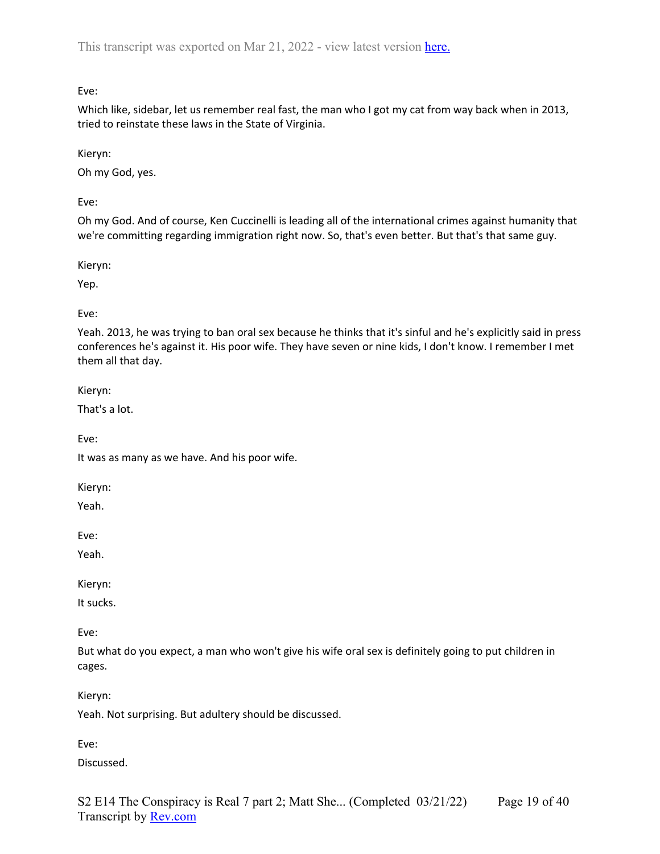Eve:

Which like, sidebar, let us remember real fast, the man who I got my cat from way back when in 2013, tried to reinstate these laws in the State of Virginia.

Kieryn:

Oh my God, yes.

Eve:

Oh my God. And of course, Ken Cuccinelli is leading all of the international crimes against humanity that we're committing regarding immigration right now. So, that's even better. But that's that same guy.

Kieryn:

Yep.

Eve:

Yeah. 2013, he was trying to ban oral sex because he thinks that it's sinful and he's explicitly said in press conferences he's against it. His poor wife. They have seven or nine kids, I don't know. I remember I met them all that day.

Kieryn:

That's a lot.

Eve:

It was as many as we have. And his poor wife.

Kieryn:

Yeah.

Eve:

Yeah.

Kieryn:

It sucks.

Eve:

But what do you expect, a man who won't give his wife oral sex is definitely going to put children in cages.

Kieryn:

Yeah. Not surprising. But adultery should be discussed.

Eve:

Discussed.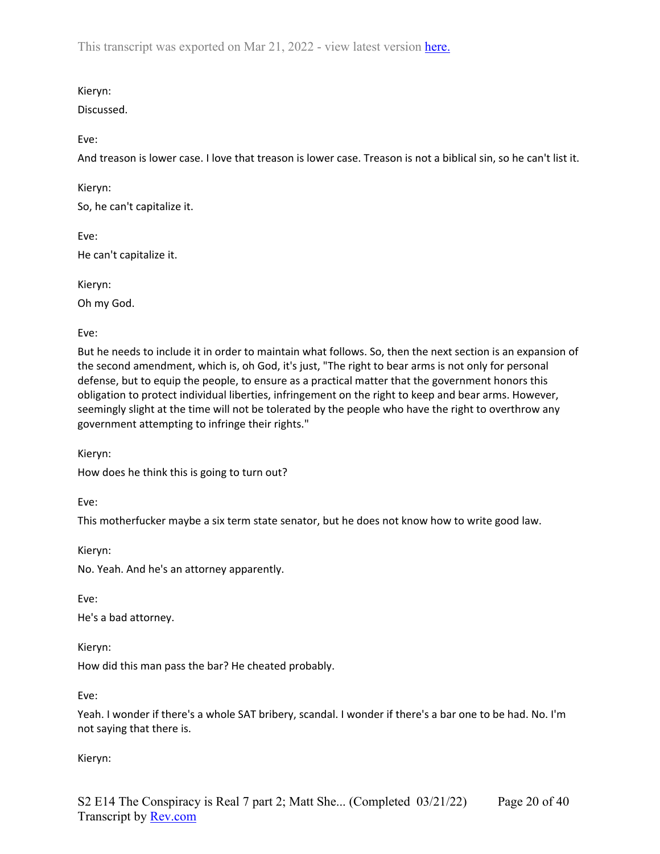Kieryn:

Discussed.

Eve:

And treason is lower case. I love that treason is lower case. Treason is not a biblical sin, so he can't list it.

Kieryn:

So, he can't capitalize it.

Eve: He can't capitalize it.

Kieryn:

Oh my God.

Eve:

But he needs to include it in order to maintain what follows. So, then the next section is an expansion of the second amendment, which is, oh God, it's just, "The right to bear arms is not only for personal defense, but to equip the people, to ensure as a practical matter that the government honors this obligation to protect individual liberties, infringement on the right to keep and bear arms. However, seemingly slight at the time will not be tolerated by the people who have the right to overthrow any government attempting to infringe their rights."

Kieryn:

How does he think this is going to turn out?

Eve:

This motherfucker maybe a six term state senator, but he does not know how to write good law.

Kieryn:

No. Yeah. And he's an attorney apparently.

Eve:

He's a bad attorney.

Kieryn:

How did this man pass the bar? He cheated probably.

Eve:

Yeah. I wonder if there's a whole SAT bribery, scandal. I wonder if there's a bar one to be had. No. I'm not saying that there is.

Kieryn: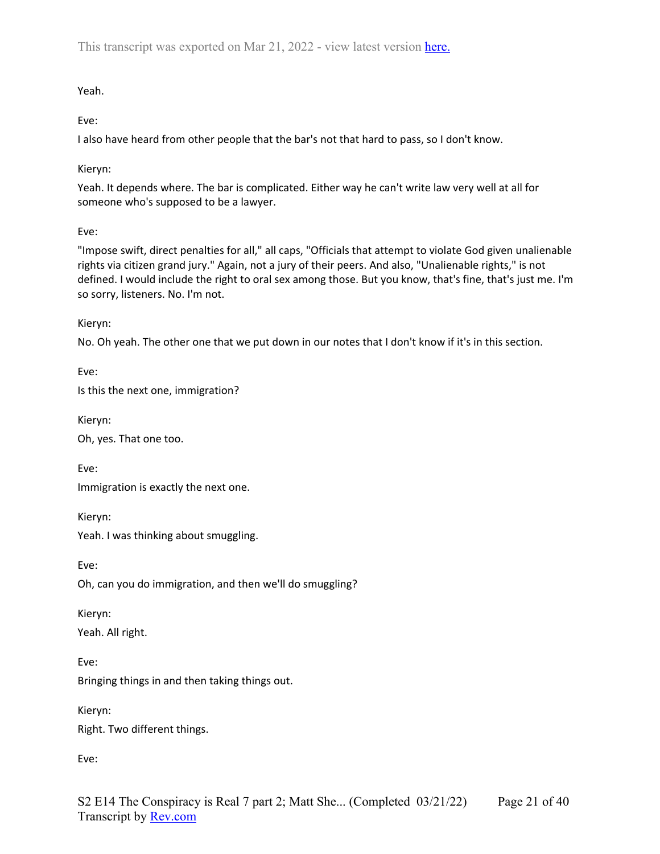Yeah.

Eve:

I also have heard from other people that the bar's not that hard to pass, so I don't know.

Kieryn:

Yeah. It depends where. The bar is complicated. Either way he can't write law very well at all for someone who's supposed to be a lawyer.

Eve:

"Impose swift, direct penalties for all," all caps, "Officials that attempt to violate God given unalienable rights via citizen grand jury." Again, not a jury of their peers. And also, "Unalienable rights," is not defined. I would include the right to oral sex among those. But you know, that's fine, that's just me. I'm so sorry, listeners. No. I'm not.

Kieryn:

No. Oh yeah. The other one that we put down in our notes that I don't know if it's in this section.

Eve: Is this the next one, immigration?

Kieryn: Oh, yes. That one too.

Eve: Immigration is exactly the next one.

Kieryn: Yeah. I was thinking about smuggling.

Eve:

Oh, can you do immigration, and then we'll do smuggling?

Kieryn: Yeah. All right.

Eve: Bringing things in and then taking things out.

Kieryn: Right. Two different things.

Eve: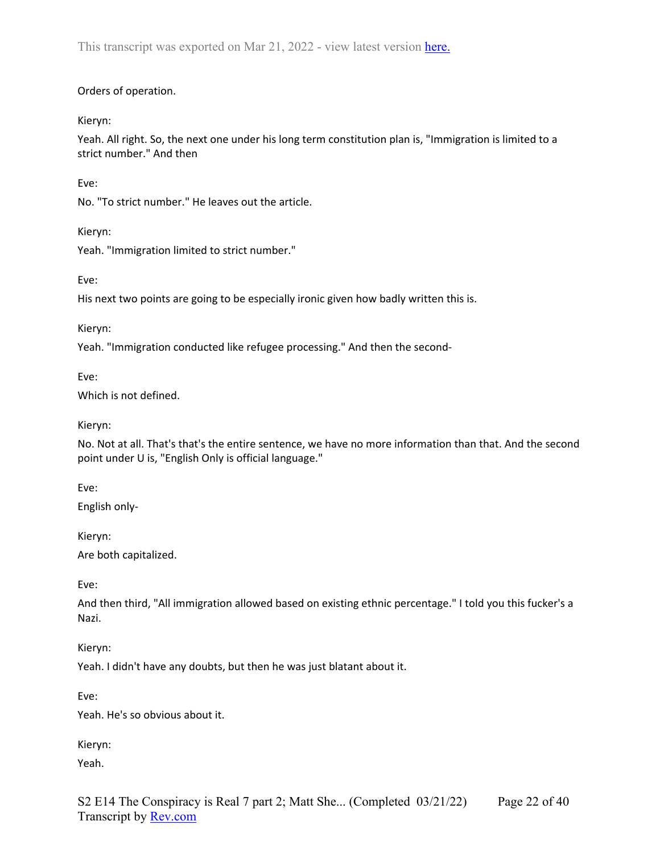### Orders of operation.

Kieryn:

Yeah. All right. So, the next one under his long term constitution plan is, "Immigration is limited to a strict number." And then

Eve:

No. "To strict number." He leaves out the article.

Kieryn:

Yeah. "Immigration limited to strict number."

Eve:

His next two points are going to be especially ironic given how badly written this is.

Kieryn:

Yeah. "Immigration conducted like refugee processing." And then the second-

Eve:

Which is not defined.

Kieryn:

No. Not at all. That's that's the entire sentence, we have no more information than that. And the second point under U is, "English Only is official language."

Eve:

English only-

Kieryn:

Are both capitalized.

Eve:

And then third, "All immigration allowed based on existing ethnic percentage." I told you this fucker's a Nazi.

Kieryn:

Yeah. I didn't have any doubts, but then he was just blatant about it.

Eve:

Yeah. He's so obvious about it.

Kieryn:

Yeah.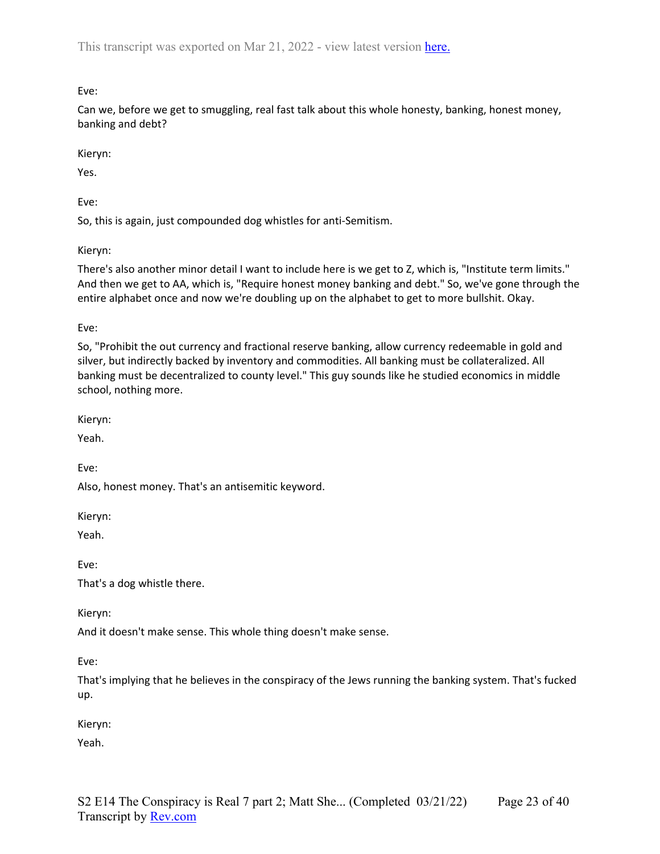Eve:

Can we, before we get to smuggling, real fast talk about this whole honesty, banking, honest money, banking and debt?

Kieryn:

Yes.

Eve:

So, this is again, just compounded dog whistles for anti-Semitism.

Kieryn:

There's also another minor detail I want to include here is we get to Z, which is, "Institute term limits." And then we get to AA, which is, "Require honest money banking and debt." So, we've gone through the entire alphabet once and now we're doubling up on the alphabet to get to more bullshit. Okay.

Eve:

So, "Prohibit the out currency and fractional reserve banking, allow currency redeemable in gold and silver, but indirectly backed by inventory and commodities. All banking must be collateralized. All banking must be decentralized to county level." This guy sounds like he studied economics in middle school, nothing more.

Kieryn:

Yeah.

Eve:

Also, honest money. That's an antisemitic keyword.

Kieryn:

Yeah.

Eve:

That's a dog whistle there.

Kieryn:

And it doesn't make sense. This whole thing doesn't make sense.

Eve:

That's implying that he believes in the conspiracy of the Jews running the banking system. That's fucked up.

Kieryn:

Yeah.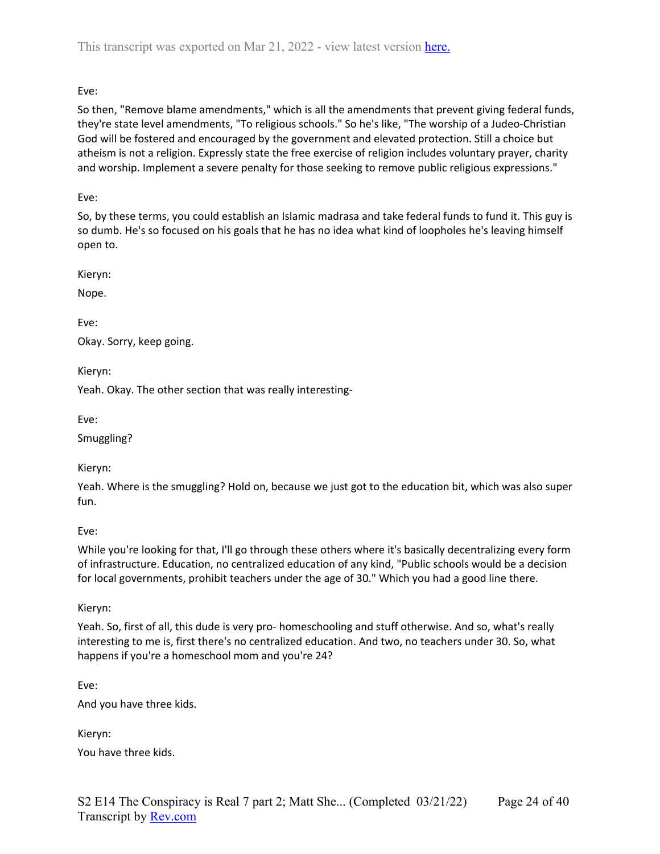# Eve:

So then, "Remove blame amendments," which is all the amendments that prevent giving federal funds, they're state level amendments, "To religious schools." So he's like, "The worship of a Judeo-Christian God will be fostered and encouraged by the government and elevated protection. Still a choice but atheism is not a religion. Expressly state the free exercise of religion includes voluntary prayer, charity and worship. Implement a severe penalty for those seeking to remove public religious expressions."

### Eve:

So, by these terms, you could establish an Islamic madrasa and take federal funds to fund it. This guy is so dumb. He's so focused on his goals that he has no idea what kind of loopholes he's leaving himself open to.

Kieryn:

Nope.

Eve: Okay. Sorry, keep going.

Kieryn:

Yeah. Okay. The other section that was really interesting-

Eve:

Smuggling?

Kieryn:

Yeah. Where is the smuggling? Hold on, because we just got to the education bit, which was also super fun.

### Eve:

While you're looking for that, I'll go through these others where it's basically decentralizing every form of infrastructure. Education, no centralized education of any kind, "Public schools would be a decision for local governments, prohibit teachers under the age of 30." Which you had a good line there.

Kieryn:

Yeah. So, first of all, this dude is very pro- homeschooling and stuff otherwise. And so, what's really interesting to me is, first there's no centralized education. And two, no teachers under 30. So, what happens if you're a homeschool mom and you're 24?

Eve:

And you have three kids.

Kieryn: You have three kids.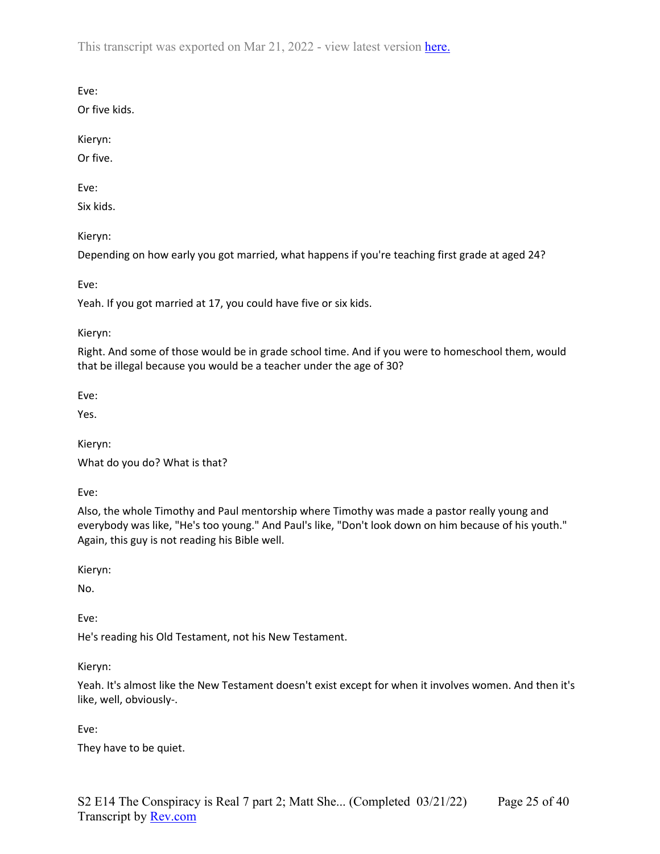Eve:

Or five kids.

Kieryn:

Or five.

Eve:

Six kids.

Kieryn:

Depending on how early you got married, what happens if you're teaching first grade at aged 24?

Eve:

Yeah. If you got married at 17, you could have five or six kids.

Kieryn:

Right. And some of those would be in grade school time. And if you were to homeschool them, would that be illegal because you would be a teacher under the age of 30?

Eve:

Yes.

Kieryn: What do you do? What is that?

Eve:

Also, the whole Timothy and Paul mentorship where Timothy was made a pastor really young and everybody was like, "He's too young." And Paul's like, "Don't look down on him because of his youth." Again, this guy is not reading his Bible well.

Kieryn:

No.

Eve:

He's reading his Old Testament, not his New Testament.

Kieryn:

Yeah. It's almost like the New Testament doesn't exist except for when it involves women. And then it's like, well, obviously-.

Eve:

They have to be quiet.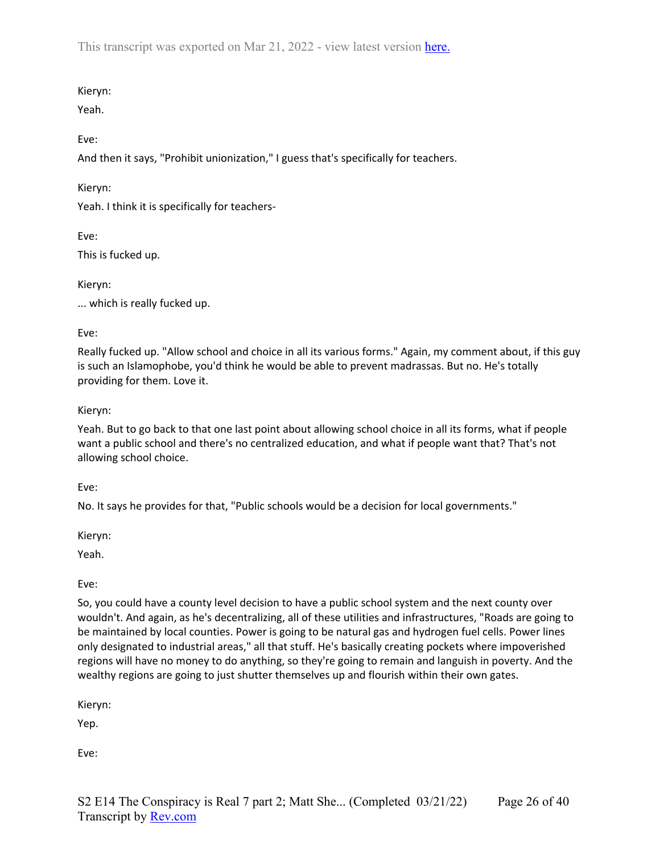# Kieryn:

Yeah.

# Eve:

And then it says, "Prohibit unionization," I guess that's specifically for teachers.

# Kieryn:

Yeah. I think it is specifically for teachers-

Eve: This is fucked up.

Kieryn:

... which is really fucked up.

# Eve:

Really fucked up. "Allow school and choice in all its various forms." Again, my comment about, if this guy is such an Islamophobe, you'd think he would be able to prevent madrassas. But no. He's totally providing for them. Love it.

# Kieryn:

Yeah. But to go back to that one last point about allowing school choice in all its forms, what if people want a public school and there's no centralized education, and what if people want that? That's not allowing school choice.

Eve:

No. It says he provides for that, "Public schools would be a decision for local governments."

Kieryn:

Yeah.

Eve:

So, you could have a county level decision to have a public school system and the next county over wouldn't. And again, as he's decentralizing, all of these utilities and infrastructures, "Roads are going to be maintained by local counties. Power is going to be natural gas and hydrogen fuel cells. Power lines only designated to industrial areas," all that stuff. He's basically creating pockets where impoverished regions will have no money to do anything, so they're going to remain and languish in poverty. And the wealthy regions are going to just shutter themselves up and flourish within their own gates.

Kieryn:

Yep.

Eve: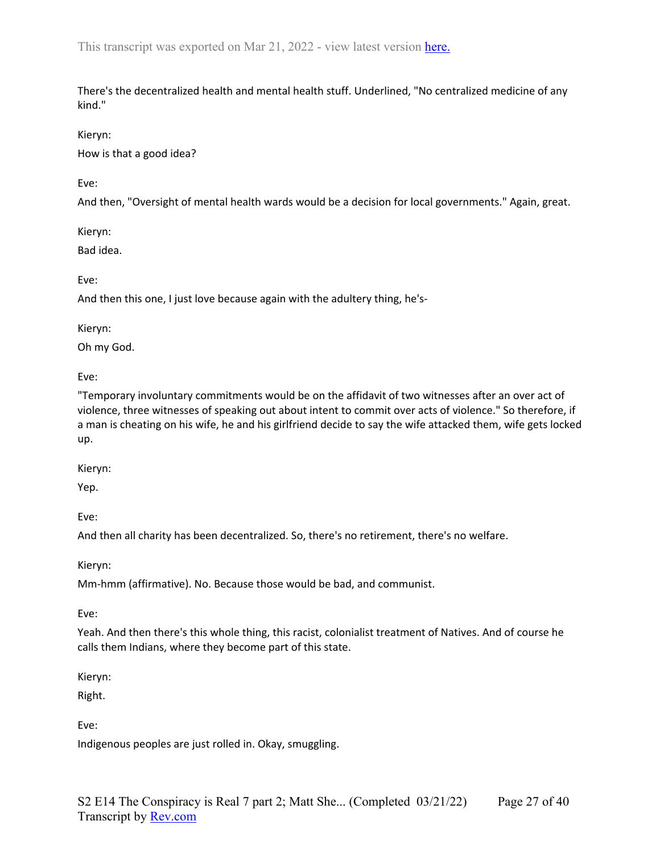There's the decentralized health and mental health stuff. Underlined, "No centralized medicine of any kind."

#### Kieryn:

How is that a good idea?

Eve:

And then, "Oversight of mental health wards would be a decision for local governments." Again, great.

Kieryn:

Bad idea.

Eve:

And then this one, I just love because again with the adultery thing, he's-

Kieryn:

Oh my God.

Eve:

"Temporary involuntary commitments would be on the affidavit of two witnesses after an over act of violence, three witnesses of speaking out about intent to commit over acts of violence." So therefore, if a man is cheating on his wife, he and his girlfriend decide to say the wife attacked them, wife gets locked up.

Kieryn:

Yep.

Eve:

And then all charity has been decentralized. So, there's no retirement, there's no welfare.

Kieryn:

Mm-hmm (affirmative). No. Because those would be bad, and communist.

Eve:

Yeah. And then there's this whole thing, this racist, colonialist treatment of Natives. And of course he calls them Indians, where they become part of this state.

Kieryn:

Right.

Eve:

Indigenous peoples are just rolled in. Okay, smuggling.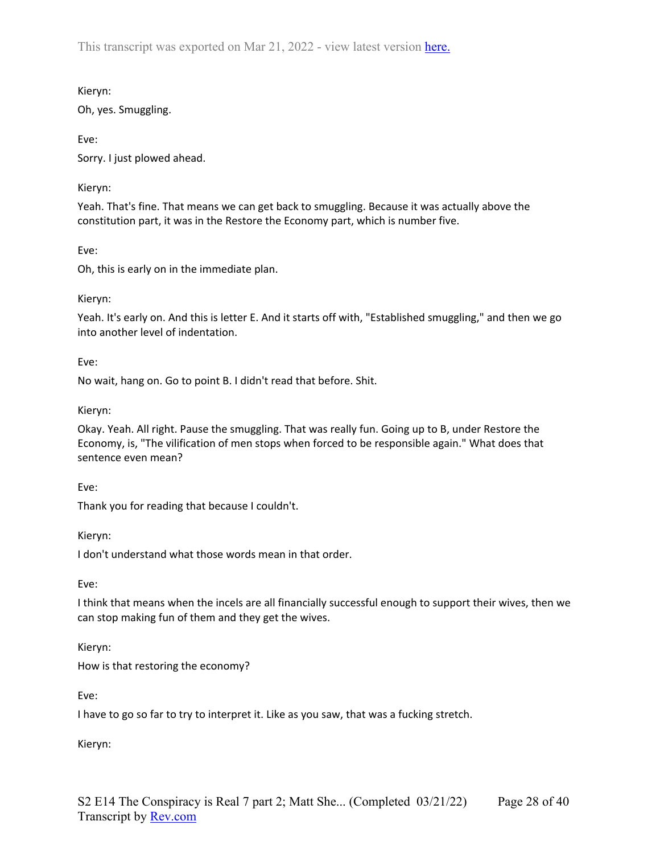## Kieryn:

Oh, yes. Smuggling.

Eve: Sorry. I just plowed ahead.

### Kieryn:

Yeah. That's fine. That means we can get back to smuggling. Because it was actually above the constitution part, it was in the Restore the Economy part, which is number five.

Eve:

Oh, this is early on in the immediate plan.

## Kieryn:

Yeah. It's early on. And this is letter E. And it starts off with, "Established smuggling," and then we go into another level of indentation.

Eve:

No wait, hang on. Go to point B. I didn't read that before. Shit.

## Kieryn:

Okay. Yeah. All right. Pause the smuggling. That was really fun. Going up to B, under Restore the Economy, is, "The vilification of men stops when forced to be responsible again." What does that sentence even mean?

Eve:

Thank you for reading that because I couldn't.

Kieryn:

I don't understand what those words mean in that order.

Eve:

I think that means when the incels are all financially successful enough to support their wives, then we can stop making fun of them and they get the wives.

Kieryn:

How is that restoring the economy?

Eve:

I have to go so far to try to interpret it. Like as you saw, that was a fucking stretch.

Kieryn: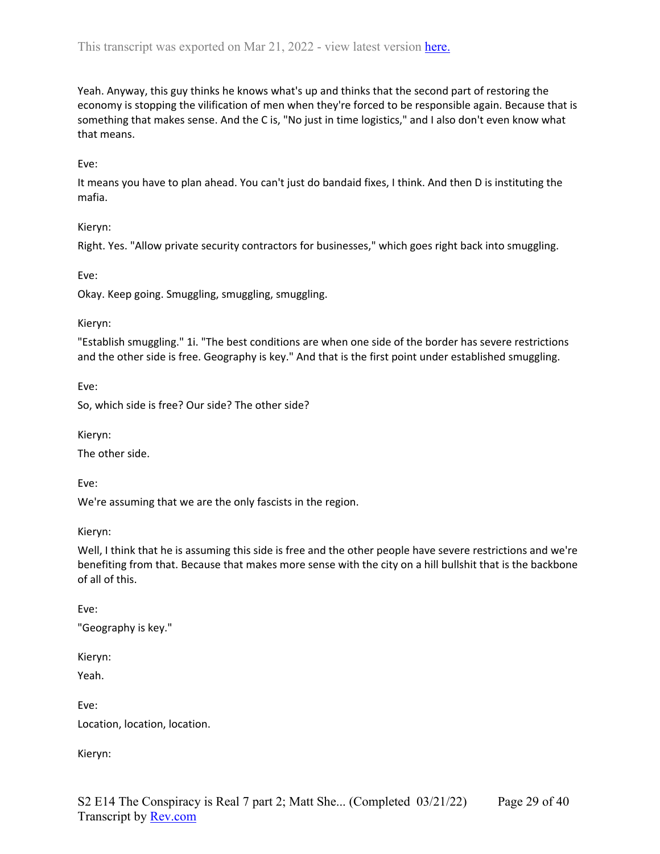Yeah. Anyway, this guy thinks he knows what's up and thinks that the second part of restoring the economy is stopping the vilification of men when they're forced to be responsible again. Because that is something that makes sense. And the C is, "No just in time logistics," and I also don't even know what that means.

### Eve:

It means you have to plan ahead. You can't just do bandaid fixes, I think. And then D is instituting the mafia.

### Kieryn:

Right. Yes. "Allow private security contractors for businesses," which goes right back into smuggling.

#### Eve:

Okay. Keep going. Smuggling, smuggling, smuggling.

#### Kieryn:

"Establish smuggling." 1i. "The best conditions are when one side of the border has severe restrictions and the other side is free. Geography is key." And that is the first point under established smuggling.

Eve:

So, which side is free? Our side? The other side?

Kieryn:

The other side.

Eve:

We're assuming that we are the only fascists in the region.

Kieryn:

Well, I think that he is assuming this side is free and the other people have severe restrictions and we're benefiting from that. Because that makes more sense with the city on a hill bullshit that is the backbone of all of this.

Eve:

"Geography is key."

Kieryn:

Yeah.

Eve: Location, location, location.

Kieryn: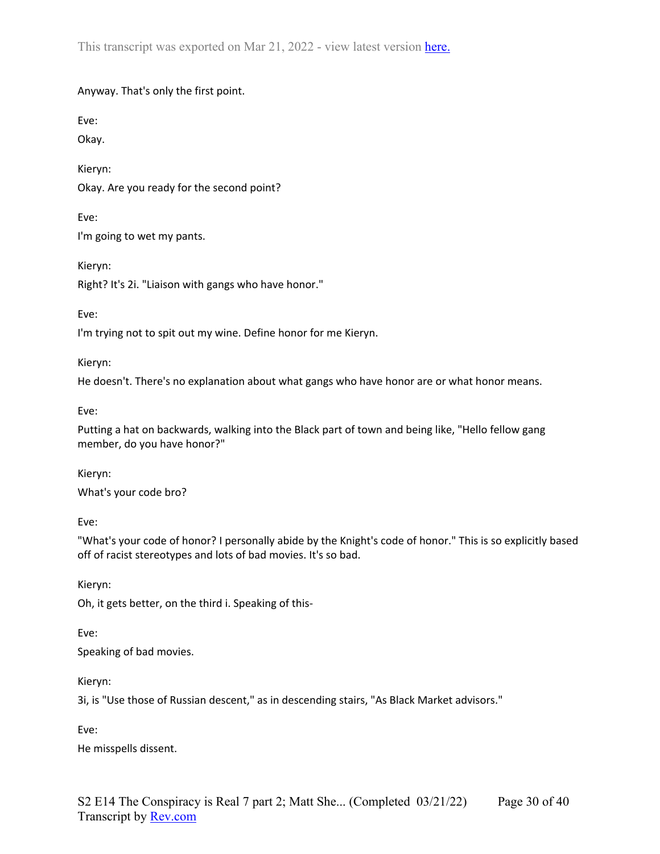Anyway. That's only the first point.

Eve:

Okay.

Kieryn: Okay. Are you ready for the second point?

Eve:

I'm going to wet my pants.

Kieryn:

Right? It's 2i. "Liaison with gangs who have honor."

Eve:

I'm trying not to spit out my wine. Define honor for me Kieryn.

Kieryn:

He doesn't. There's no explanation about what gangs who have honor are or what honor means.

Eve:

Putting a hat on backwards, walking into the Black part of town and being like, "Hello fellow gang member, do you have honor?"

Kieryn:

What's your code bro?

Eve:

"What's your code of honor? I personally abide by the Knight's code of honor." This is so explicitly based off of racist stereotypes and lots of bad movies. It's so bad.

Kieryn:

Oh, it gets better, on the third i. Speaking of this-

Eve:

Speaking of bad movies.

Kieryn:

3i, is "Use those of Russian descent," as in descending stairs, "As Black Market advisors."

Eve:

He misspells dissent.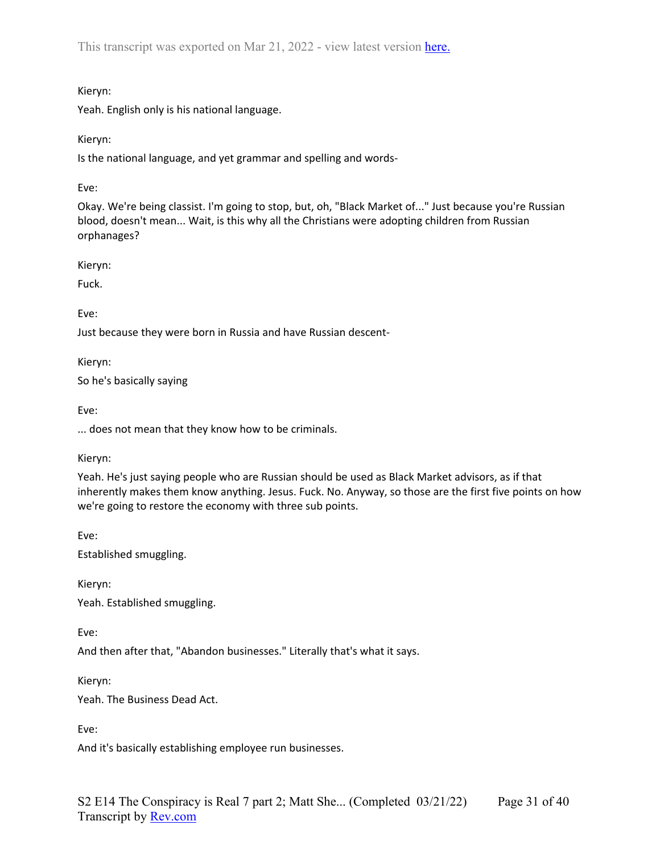### Kieryn:

Yeah. English only is his national language.

Kieryn:

Is the national language, and yet grammar and spelling and words-

Eve:

Okay. We're being classist. I'm going to stop, but, oh, "Black Market of..." Just because you're Russian blood, doesn't mean... Wait, is this why all the Christians were adopting children from Russian orphanages?

Kieryn:

Fuck.

Eve:

Just because they were born in Russia and have Russian descent-

Kieryn: So he's basically saying

Eve:

... does not mean that they know how to be criminals.

Kieryn:

Yeah. He's just saying people who are Russian should be used as Black Market advisors, as if that inherently makes them know anything. Jesus. Fuck. No. Anyway, so those are the first five points on how we're going to restore the economy with three sub points.

Eve:

Established smuggling.

Kieryn: Yeah. Established smuggling.

Eve:

And then after that, "Abandon businesses." Literally that's what it says.

Kieryn:

Yeah. The Business Dead Act.

Eve:

And it's basically establishing employee run businesses.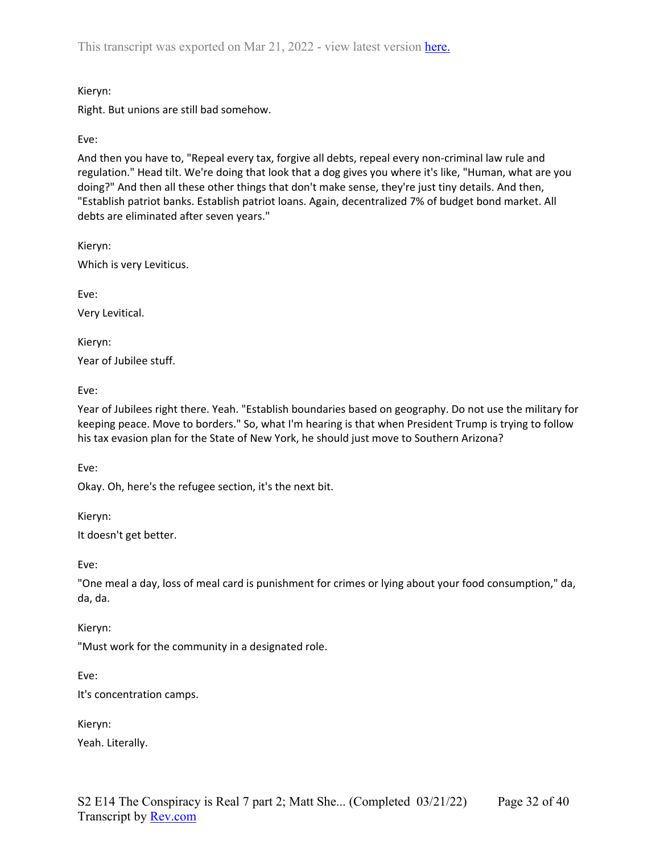## Kieryn:

Right. But unions are still bad somehow.

# Eve:

And then you have to, "Repeal every tax, forgive all debts, repeal every non-criminal law rule and regulation." Head tilt. We're doing that look that a dog gives you where it's like, "Human, what are you doing?" And then all these other things that don't make sense, they're just tiny details. And then, "Establish patriot banks. Establish patriot loans. Again, decentralized 7% of budget bond market. All debts are eliminated after seven years."

Kieryn: Which is very Leviticus.

Eve:

Very Levitical.

Kieryn:

Year of Jubilee stuff.

Eve:

Year of Jubilees right there. Yeah. "Establish boundaries based on geography. Do not use the military for keeping peace. Move to borders." So, what I'm hearing is that when President Trump is trying to follow his tax evasion plan for the State of New York, he should just move to Southern Arizona?

Eve:

Okay. Oh, here's the refugee section, it's the next bit.

Kieryn:

It doesn't get better.

Eve:

"One meal a day, loss of meal card is punishment for crimes or lying about your food consumption," da, da, da.

Kieryn:

"Must work for the community in a designated role.

Eve:

It's concentration camps.

Kieryn:

Yeah. Literally.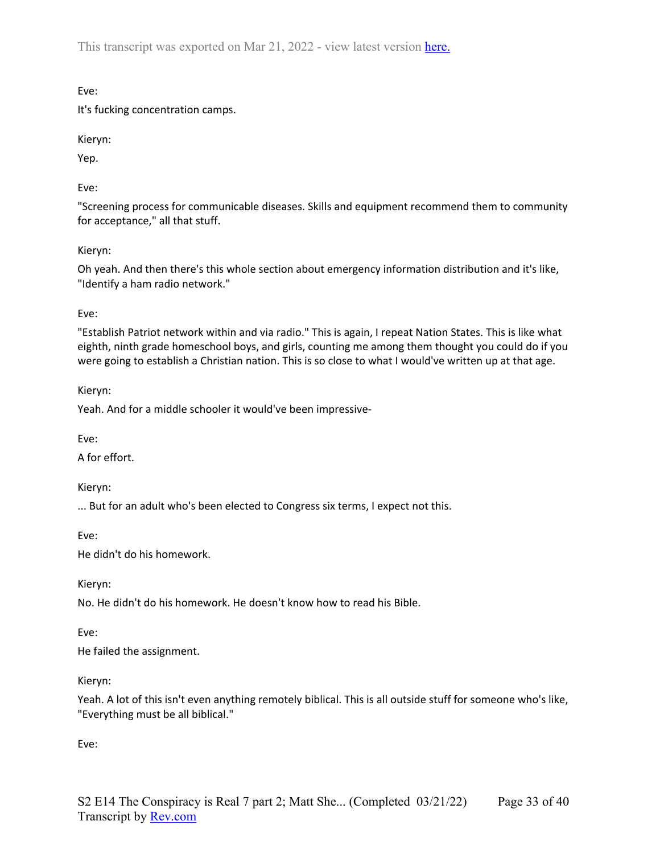Eve:

It's fucking concentration camps.

Kieryn:

Yep.

Eve:

"Screening process for communicable diseases. Skills and equipment recommend them to community for acceptance," all that stuff.

## Kieryn:

Oh yeah. And then there's this whole section about emergency information distribution and it's like, "Identify a ham radio network."

## Eve:

"Establish Patriot network within and via radio." This is again, I repeat Nation States. This is like what eighth, ninth grade homeschool boys, and girls, counting me among them thought you could do if you were going to establish a Christian nation. This is so close to what I would've written up at that age.

Kieryn:

Yeah. And for a middle schooler it would've been impressive-

Eve:

A for effort.

Kieryn:

... But for an adult who's been elected to Congress six terms, I expect not this.

Eve:

He didn't do his homework.

Kieryn:

No. He didn't do his homework. He doesn't know how to read his Bible.

Eve:

He failed the assignment.

Kieryn:

Yeah. A lot of this isn't even anything remotely biblical. This is all outside stuff for someone who's like, "Everything must be all biblical."

Eve: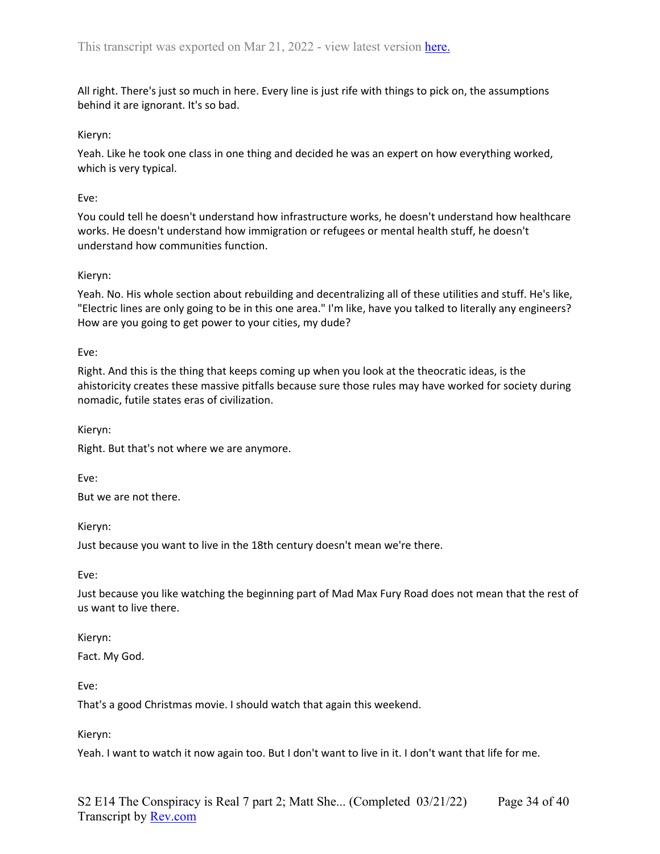All right. There's just so much in here. Every line is just rife with things to pick on, the assumptions behind it are ignorant. It's so bad.

#### Kieryn:

Yeah. Like he took one class in one thing and decided he was an expert on how everything worked, which is very typical.

#### Eve:

You could tell he doesn't understand how infrastructure works, he doesn't understand how healthcare works. He doesn't understand how immigration or refugees or mental health stuff, he doesn't understand how communities function.

#### Kieryn:

Yeah. No. His whole section about rebuilding and decentralizing all of these utilities and stuff. He's like, "Electric lines are only going to be in this one area." I'm like, have you talked to literally any engineers? How are you going to get power to your cities, my dude?

Eve:

Right. And this is the thing that keeps coming up when you look at the theocratic ideas, is the ahistoricity creates these massive pitfalls because sure those rules may have worked for society during nomadic, futile states eras of civilization.

Kieryn:

Right. But that's not where we are anymore.

Eve:

But we are not there.

Kieryn:

Just because you want to live in the 18th century doesn't mean we're there.

Eve:

Just because you like watching the beginning part of Mad Max Fury Road does not mean that the rest of us want to live there.

#### Kieryn:

Fact. My God.

Eve:

That's a good Christmas movie. I should watch that again this weekend.

Kieryn:

Yeah. I want to watch it now again too. But I don't want to live in it. I don't want that life for me.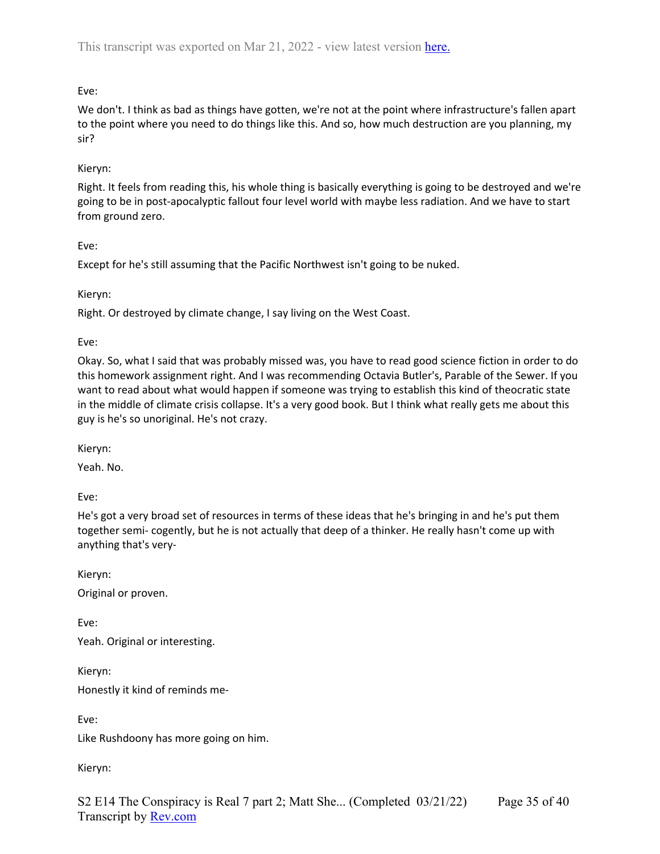# Eve:

We don't. I think as bad as things have gotten, we're not at the point where infrastructure's fallen apart to the point where you need to do things like this. And so, how much destruction are you planning, my sir?

## Kieryn:

Right. It feels from reading this, his whole thing is basically everything is going to be destroyed and we're going to be in post-apocalyptic fallout four level world with maybe less radiation. And we have to start from ground zero.

Eve:

Except for he's still assuming that the Pacific Northwest isn't going to be nuked.

Kieryn:

Right. Or destroyed by climate change, I say living on the West Coast.

Eve:

Okay. So, what I said that was probably missed was, you have to read good science fiction in order to do this homework assignment right. And I was recommending Octavia Butler's, Parable of the Sewer. If you want to read about what would happen if someone was trying to establish this kind of theocratic state in the middle of climate crisis collapse. It's a very good book. But I think what really gets me about this guy is he's so unoriginal. He's not crazy.

Kieryn:

Yeah. No.

Eve:

He's got a very broad set of resources in terms of these ideas that he's bringing in and he's put them together semi- cogently, but he is not actually that deep of a thinker. He really hasn't come up with anything that's very-

Kieryn:

Original or proven.

Eve: Yeah. Original or interesting.

Kieryn:

Honestly it kind of reminds me-

Eve:

Like Rushdoony has more going on him.

Kieryn: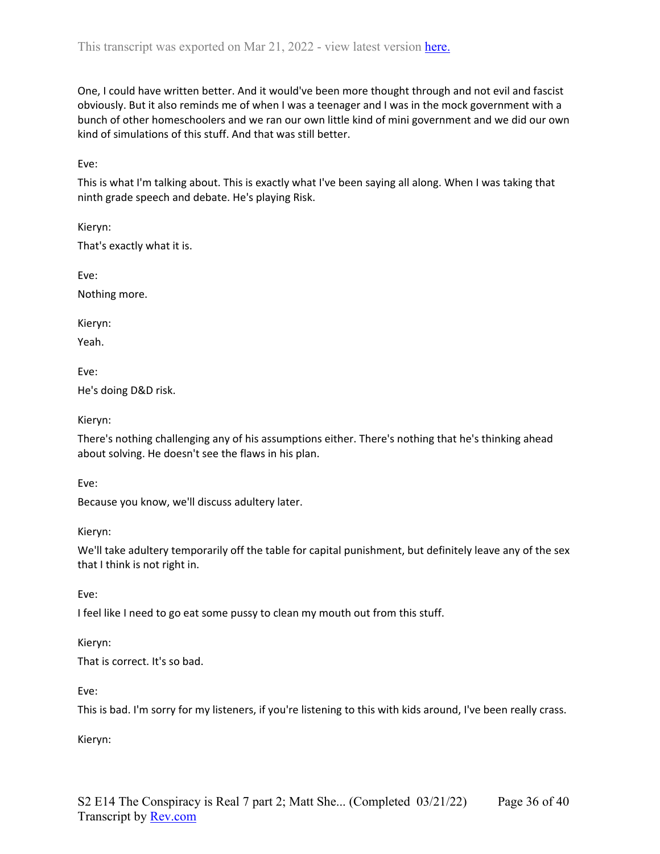One, I could have written better. And it would've been more thought through and not evil and fascist obviously. But it also reminds me of when I was a teenager and I was in the mock government with a bunch of other homeschoolers and we ran our own little kind of mini government and we did our own kind of simulations of this stuff. And that was still better.

Eve:

This is what I'm talking about. This is exactly what I've been saying all along. When I was taking that ninth grade speech and debate. He's playing Risk.

Kieryn: That's exactly what it is.

Nothing more.

Kieryn:

Eve:

Yeah.

Eve:

He's doing D&D risk.

Kieryn:

There's nothing challenging any of his assumptions either. There's nothing that he's thinking ahead about solving. He doesn't see the flaws in his plan.

Eve:

Because you know, we'll discuss adultery later.

Kieryn:

We'll take adultery temporarily off the table for capital punishment, but definitely leave any of the sex that I think is not right in.

Eve:

I feel like I need to go eat some pussy to clean my mouth out from this stuff.

Kieryn:

That is correct. It's so bad.

Eve:

This is bad. I'm sorry for my listeners, if you're listening to this with kids around, I've been really crass.

Kieryn: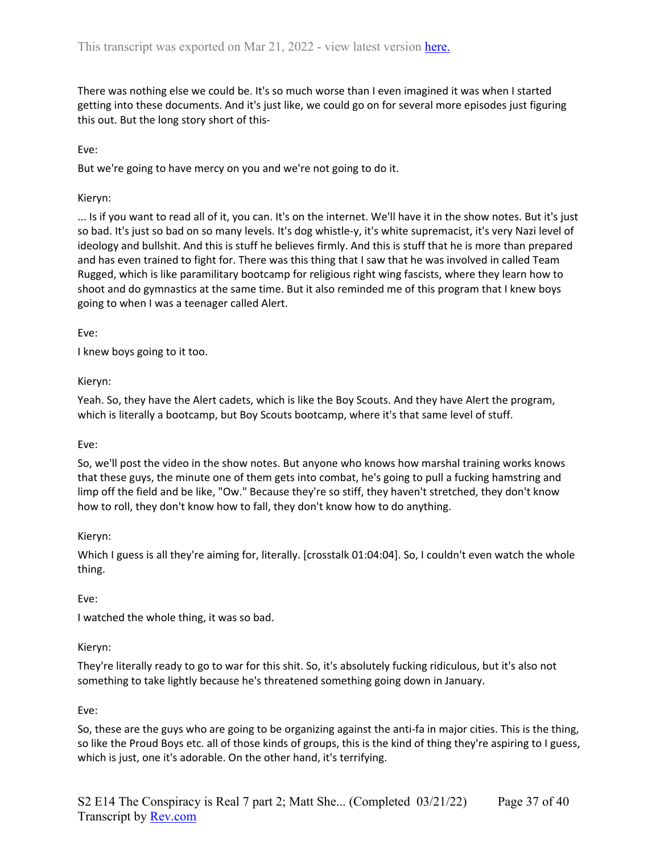There was nothing else we could be. It's so much worse than I even imagined it was when I started getting into these documents. And it's just like, we could go on for several more episodes just figuring this out. But the long story short of this-

Eve:

But we're going to have mercy on you and we're not going to do it.

## Kieryn:

... Is if you want to read all of it, you can. It's on the internet. We'll have it in the show notes. But it's just so bad. It's just so bad on so many levels. It's dog whistle-y, it's white supremacist, it's very Nazi level of ideology and bullshit. And this is stuff he believes firmly. And this is stuff that he is more than prepared and has even trained to fight for. There was this thing that I saw that he was involved in called Team Rugged, which is like paramilitary bootcamp for religious right wing fascists, where they learn how to shoot and do gymnastics at the same time. But it also reminded me of this program that I knew boys going to when I was a teenager called Alert.

Eve:

I knew boys going to it too.

## Kieryn:

Yeah. So, they have the Alert cadets, which is like the Boy Scouts. And they have Alert the program, which is literally a bootcamp, but Boy Scouts bootcamp, where it's that same level of stuff.

### Eve:

So, we'll post the video in the show notes. But anyone who knows how marshal training works knows that these guys, the minute one of them gets into combat, he's going to pull a fucking hamstring and limp off the field and be like, "Ow." Because they're so stiff, they haven't stretched, they don't know how to roll, they don't know how to fall, they don't know how to do anything.

### Kieryn:

Which I guess is all they're aiming for, literally. [crosstalk 01:04:04]. So, I couldn't even watch the whole thing.

# Eve:

I watched the whole thing, it was so bad.

### Kieryn:

They're literally ready to go to war for this shit. So, it's absolutely fucking ridiculous, but it's also not something to take lightly because he's threatened something going down in January.

### Eve:

So, these are the guys who are going to be organizing against the anti-fa in major cities. This is the thing, so like the Proud Boys etc. all of those kinds of groups, this is the kind of thing they're aspiring to I guess, which is just, one it's adorable. On the other hand, it's terrifying.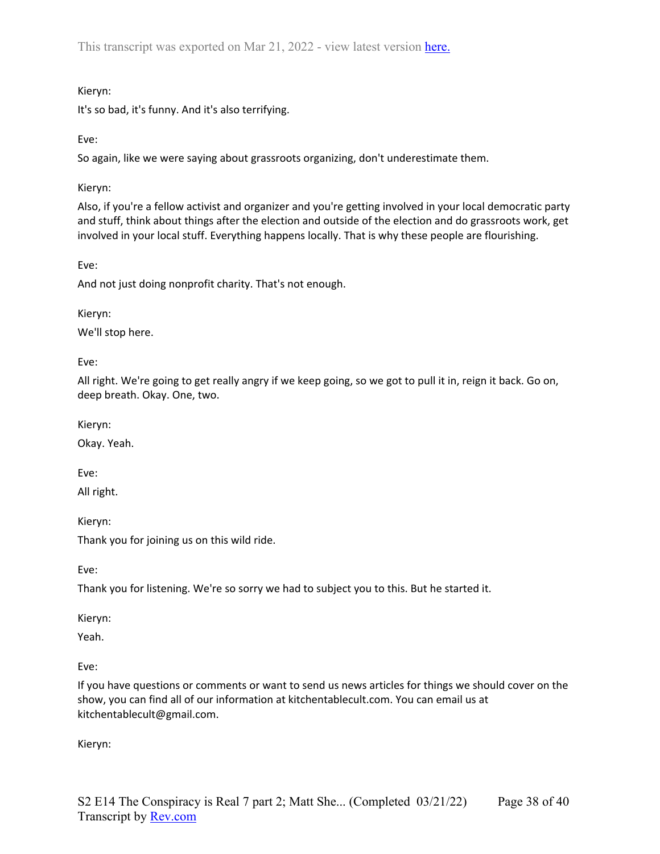## Kieryn:

It's so bad, it's funny. And it's also terrifying.

Eve:

So again, like we were saying about grassroots organizing, don't underestimate them.

Kieryn:

Also, if you're a fellow activist and organizer and you're getting involved in your local democratic party and stuff, think about things after the election and outside of the election and do grassroots work, get involved in your local stuff. Everything happens locally. That is why these people are flourishing.

Eve:

And not just doing nonprofit charity. That's not enough.

Kieryn:

We'll stop here.

Eve:

All right. We're going to get really angry if we keep going, so we got to pull it in, reign it back. Go on, deep breath. Okay. One, two.

Kieryn:

Okay. Yeah.

Eve:

All right.

Kieryn:

Thank you for joining us on this wild ride.

Eve:

Thank you for listening. We're so sorry we had to subject you to this. But he started it.

Kieryn:

Yeah.

Eve:

If you have questions or comments or want to send us news articles for things we should cover on the show, you can find all of our information at kitchentablecult.com. You can email us at kitchentablecult@gmail.com.

Kieryn: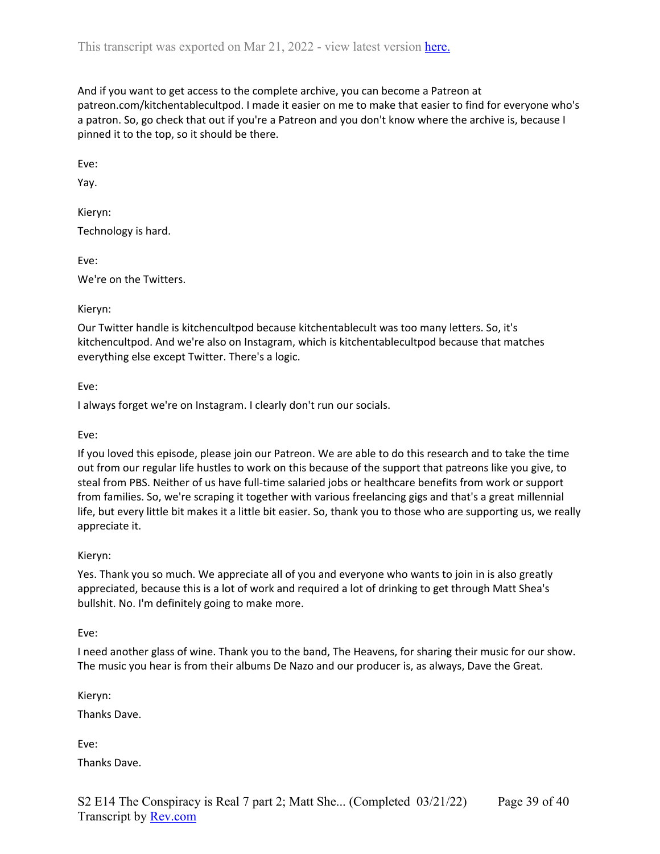And if you want to get access to the complete archive, you can become a Patreon at patreon.com/kitchentablecultpod. I made it easier on me to make that easier to find for everyone who's a patron. So, go check that out if you're a Patreon and you don't know where the archive is, because I pinned it to the top, so it should be there.

Eve:

Yay.

Kieryn: Technology is hard.

Eve: We're on the Twitters.

#### Kieryn:

Our Twitter handle is kitchencultpod because kitchentablecult was too many letters. So, it's kitchencultpod. And we're also on Instagram, which is kitchentablecultpod because that matches everything else except Twitter. There's a logic.

Eve:

I always forget we're on Instagram. I clearly don't run our socials.

Eve:

If you loved this episode, please join our Patreon. We are able to do this research and to take the time out from our regular life hustles to work on this because of the support that patreons like you give, to steal from PBS. Neither of us have full-time salaried jobs or healthcare benefits from work or support from families. So, we're scraping it together with various freelancing gigs and that's a great millennial life, but every little bit makes it a little bit easier. So, thank you to those who are supporting us, we really appreciate it.

### Kieryn:

Yes. Thank you so much. We appreciate all of you and everyone who wants to join in is also greatly appreciated, because this is a lot of work and required a lot of drinking to get through Matt Shea's bullshit. No. I'm definitely going to make more.

Eve:

I need another glass of wine. Thank you to the band, The Heavens, for sharing their music for our show. The music you hear is from their albums De Nazo and our producer is, as always, Dave the Great.

Kieryn:

Thanks Dave.

Eve: Thanks Dave.